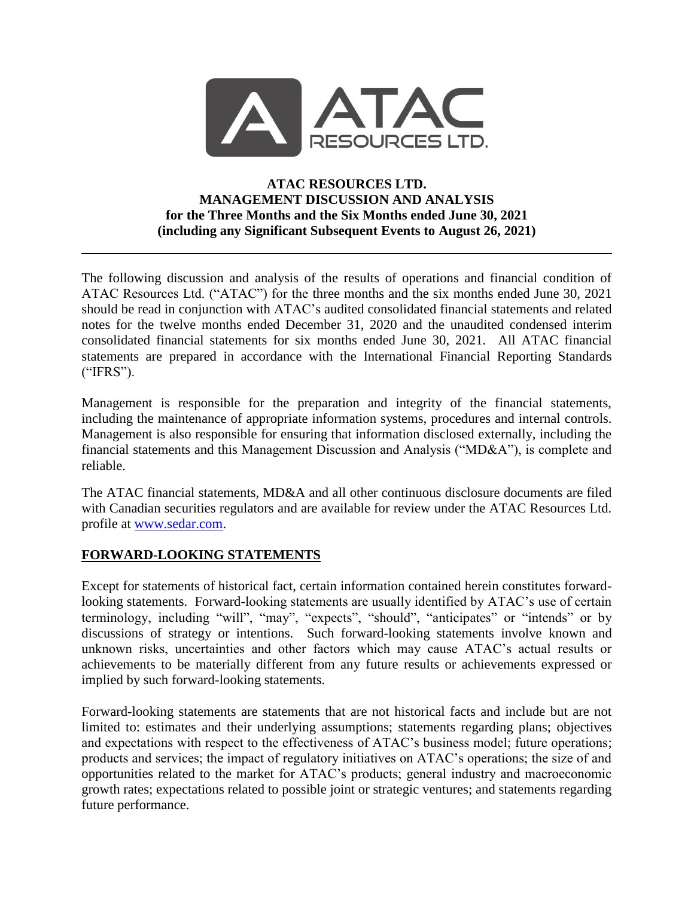

### **ATAC RESOURCES LTD. MANAGEMENT DISCUSSION AND ANALYSIS for the Three Months and the Six Months ended June 30, 2021 (including any Significant Subsequent Events to August 26, 2021)**

The following discussion and analysis of the results of operations and financial condition of ATAC Resources Ltd. ("ATAC") for the three months and the six months ended June 30, 2021 should be read in conjunction with ATAC's audited consolidated financial statements and related notes for the twelve months ended December 31, 2020 and the unaudited condensed interim consolidated financial statements for six months ended June 30, 2021. All ATAC financial statements are prepared in accordance with the International Financial Reporting Standards ("IFRS").

Management is responsible for the preparation and integrity of the financial statements, including the maintenance of appropriate information systems, procedures and internal controls. Management is also responsible for ensuring that information disclosed externally, including the financial statements and this Management Discussion and Analysis ("MD&A"), is complete and reliable.

The ATAC financial statements, MD&A and all other continuous disclosure documents are filed with Canadian securities regulators and are available for review under the ATAC Resources Ltd. profile at [www.sedar.com.](http://www.sedar.com/)

# **FORWARD-LOOKING STATEMENTS**

Except for statements of historical fact, certain information contained herein constitutes forwardlooking statements. Forward-looking statements are usually identified by ATAC's use of certain terminology, including "will", "may", "expects", "should", "anticipates" or "intends" or by discussions of strategy or intentions. Such forward-looking statements involve known and unknown risks, uncertainties and other factors which may cause ATAC's actual results or achievements to be materially different from any future results or achievements expressed or implied by such forward-looking statements.

Forward-looking statements are statements that are not historical facts and include but are not limited to: estimates and their underlying assumptions; statements regarding plans; objectives and expectations with respect to the effectiveness of ATAC's business model; future operations; products and services; the impact of regulatory initiatives on ATAC's operations; the size of and opportunities related to the market for ATAC's products; general industry and macroeconomic growth rates; expectations related to possible joint or strategic ventures; and statements regarding future performance.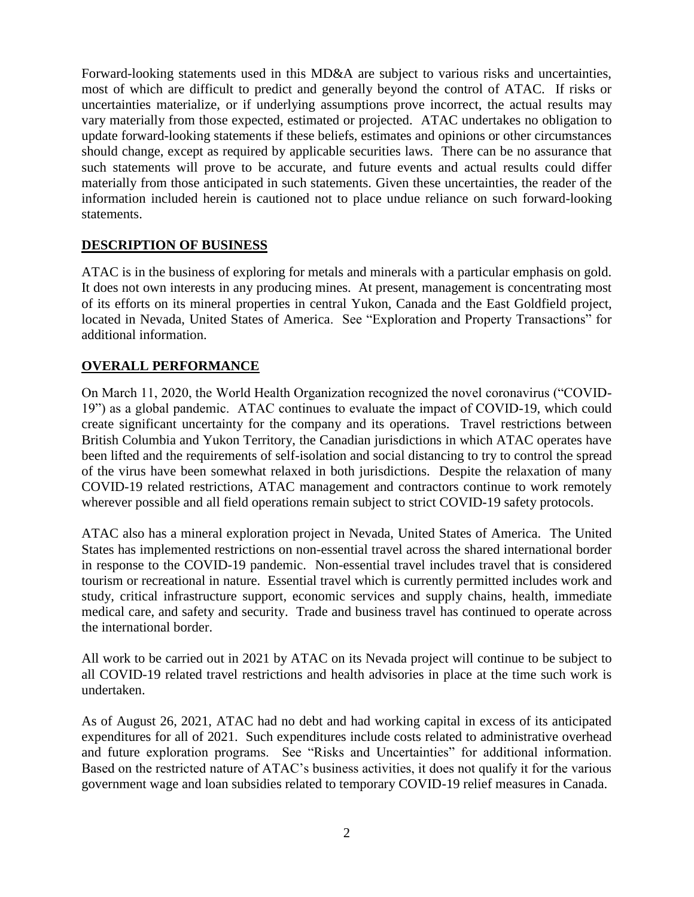Forward-looking statements used in this MD&A are subject to various risks and uncertainties, most of which are difficult to predict and generally beyond the control of ATAC. If risks or uncertainties materialize, or if underlying assumptions prove incorrect, the actual results may vary materially from those expected, estimated or projected. ATAC undertakes no obligation to update forward-looking statements if these beliefs, estimates and opinions or other circumstances should change, except as required by applicable securities laws. There can be no assurance that such statements will prove to be accurate, and future events and actual results could differ materially from those anticipated in such statements. Given these uncertainties, the reader of the information included herein is cautioned not to place undue reliance on such forward-looking statements.

# **DESCRIPTION OF BUSINESS**

ATAC is in the business of exploring for metals and minerals with a particular emphasis on gold. It does not own interests in any producing mines. At present, management is concentrating most of its efforts on its mineral properties in central Yukon, Canada and the East Goldfield project, located in Nevada, United States of America. See "Exploration and Property Transactions" for additional information.

# **OVERALL PERFORMANCE**

On March 11, 2020, the World Health Organization recognized the novel coronavirus ("COVID-19") as a global pandemic. ATAC continues to evaluate the impact of COVID-19, which could create significant uncertainty for the company and its operations. Travel restrictions between British Columbia and Yukon Territory, the Canadian jurisdictions in which ATAC operates have been lifted and the requirements of self-isolation and social distancing to try to control the spread of the virus have been somewhat relaxed in both jurisdictions. Despite the relaxation of many COVID-19 related restrictions, ATAC management and contractors continue to work remotely wherever possible and all field operations remain subject to strict COVID-19 safety protocols.

ATAC also has a mineral exploration project in Nevada, United States of America. The United States has implemented restrictions on non-essential travel across the shared international border in response to the COVID-19 pandemic. Non-essential travel includes travel that is considered tourism or recreational in nature. Essential travel which is currently permitted includes work and study, critical infrastructure support, economic services and supply chains, health, immediate medical care, and safety and security. Trade and business travel has continued to operate across the international border.

All work to be carried out in 2021 by ATAC on its Nevada project will continue to be subject to all COVID-19 related travel restrictions and health advisories in place at the time such work is undertaken.

As of August 26, 2021, ATAC had no debt and had working capital in excess of its anticipated expenditures for all of 2021. Such expenditures include costs related to administrative overhead and future exploration programs. See "Risks and Uncertainties" for additional information. Based on the restricted nature of ATAC's business activities, it does not qualify it for the various government wage and loan subsidies related to temporary COVID-19 relief measures in Canada.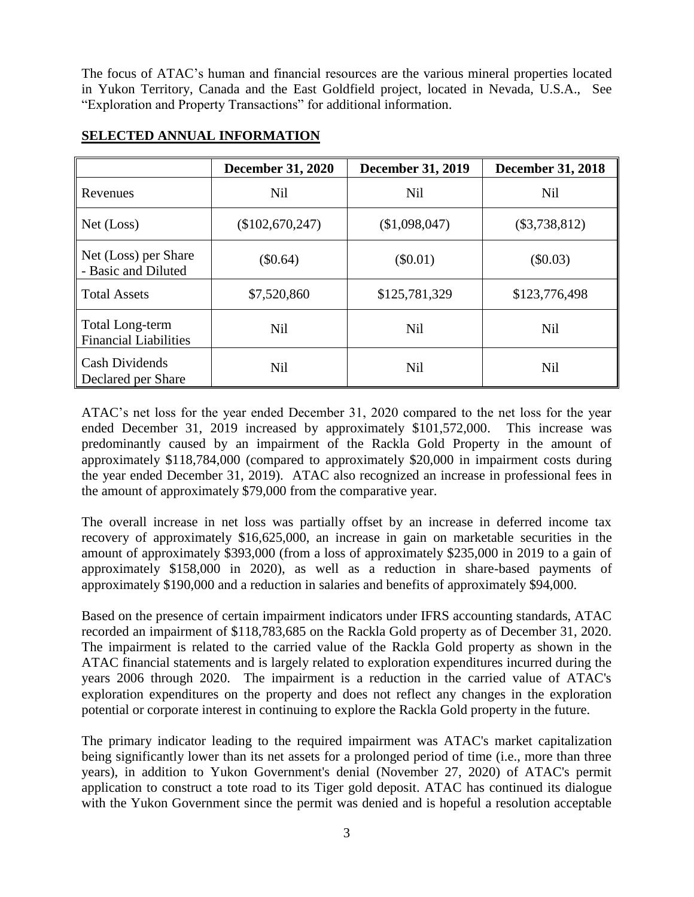The focus of ATAC's human and financial resources are the various mineral properties located in Yukon Territory, Canada and the East Goldfield project, located in Nevada, U.S.A., See "Exploration and Property Transactions" for additional information.

|                                                 | <b>December 31, 2020</b> | <b>December 31, 2019</b> | <b>December 31, 2018</b> |
|-------------------------------------------------|--------------------------|--------------------------|--------------------------|
| Revenues                                        | <b>Nil</b>               | <b>Nil</b>               | <b>Nil</b>               |
| Net (Loss)                                      | (\$102,670,247)          | (\$1,098,047)            | $(\$3,738,812)$          |
| Net (Loss) per Share<br>- Basic and Diluted     | (\$0.64)                 | $(\$0.01)$               | $(\$0.03)$               |
| <b>Total Assets</b>                             | \$7,520,860              | \$125,781,329            | \$123,776,498            |
| Total Long-term<br><b>Financial Liabilities</b> | <b>Nil</b>               | <b>Nil</b>               | <b>Nil</b>               |
| <b>Cash Dividends</b><br>Declared per Share     | <b>Nil</b>               | <b>Nil</b>               | <b>Nil</b>               |

### **SELECTED ANNUAL INFORMATION**

ATAC's net loss for the year ended December 31, 2020 compared to the net loss for the year ended December 31, 2019 increased by approximately \$101,572,000. This increase was predominantly caused by an impairment of the Rackla Gold Property in the amount of approximately \$118,784,000 (compared to approximately \$20,000 in impairment costs during the year ended December 31, 2019). ATAC also recognized an increase in professional fees in the amount of approximately \$79,000 from the comparative year.

The overall increase in net loss was partially offset by an increase in deferred income tax recovery of approximately \$16,625,000, an increase in gain on marketable securities in the amount of approximately \$393,000 (from a loss of approximately \$235,000 in 2019 to a gain of approximately \$158,000 in 2020), as well as a reduction in share-based payments of approximately \$190,000 and a reduction in salaries and benefits of approximately \$94,000.

Based on the presence of certain impairment indicators under IFRS accounting standards, ATAC recorded an impairment of \$118,783,685 on the Rackla Gold property as of December 31, 2020. The impairment is related to the carried value of the Rackla Gold property as shown in the ATAC financial statements and is largely related to exploration expenditures incurred during the years 2006 through 2020. The impairment is a reduction in the carried value of ATAC's exploration expenditures on the property and does not reflect any changes in the exploration potential or corporate interest in continuing to explore the Rackla Gold property in the future.

The primary indicator leading to the required impairment was ATAC's market capitalization being significantly lower than its net assets for a prolonged period of time (i.e., more than three years), in addition to Yukon Government's denial (November 27, 2020) of ATAC's permit application to construct a tote road to its Tiger gold deposit. ATAC has continued its dialogue with the Yukon Government since the permit was denied and is hopeful a resolution acceptable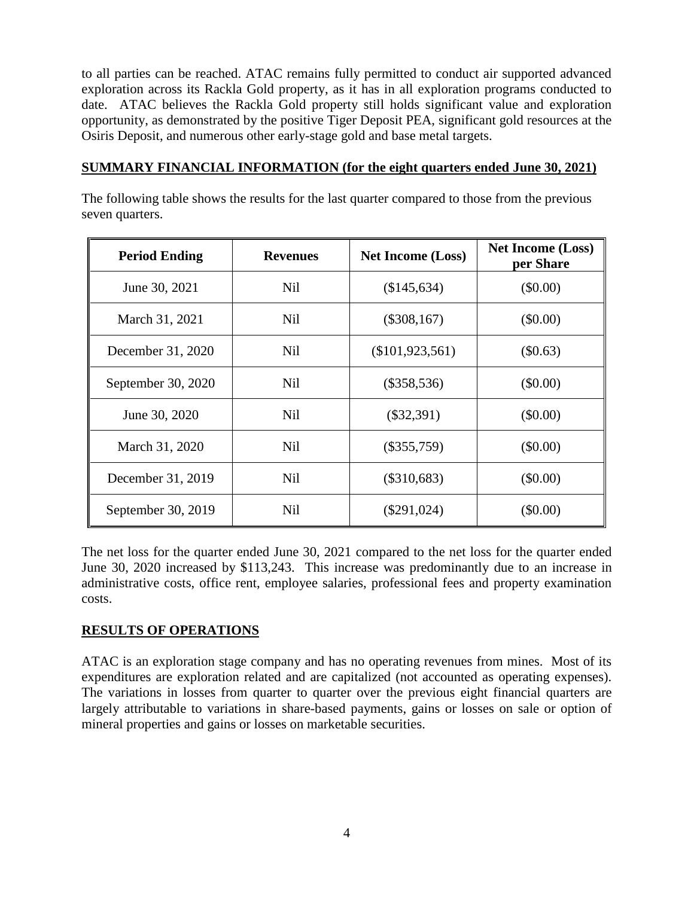to all parties can be reached. ATAC remains fully permitted to conduct air supported advanced exploration across its Rackla Gold property, as it has in all exploration programs conducted to date. ATAC believes the Rackla Gold property still holds significant value and exploration opportunity, as demonstrated by the positive Tiger Deposit PEA, significant gold resources at the Osiris Deposit, and numerous other early-stage gold and base metal targets.

### **SUMMARY FINANCIAL INFORMATION (for the eight quarters ended June 30, 2021)**

The following table shows the results for the last quarter compared to those from the previous seven quarters.

| <b>Period Ending</b> | <b>Revenues</b> | <b>Net Income (Loss)</b> |            |
|----------------------|-----------------|--------------------------|------------|
| June 30, 2021        | <b>Nil</b>      | (\$145,634)              | $(\$0.00)$ |
| March 31, 2021       | <b>Nil</b>      | $(\$308,167)$            | $(\$0.00)$ |
| December 31, 2020    | <b>Nil</b>      | $(\$101,923,561)$        | $(\$0.63)$ |
| September 30, 2020   | <b>Nil</b>      | $(\$358,536)$            | (\$0.00)   |
| June 30, 2020        | <b>Nil</b>      | $(\$32,391)$             | $(\$0.00)$ |
| March 31, 2020       | <b>Nil</b>      | $(\$355,759)$            | $(\$0.00)$ |
| December 31, 2019    | <b>Nil</b>      | $(\$310,683)$            | $(\$0.00)$ |
| September 30, 2019   | <b>Nil</b>      | $(\$291,024)$            | $(\$0.00)$ |

The net loss for the quarter ended June 30, 2021 compared to the net loss for the quarter ended June 30, 2020 increased by \$113,243. This increase was predominantly due to an increase in administrative costs, office rent, employee salaries, professional fees and property examination costs.

# **RESULTS OF OPERATIONS**

ATAC is an exploration stage company and has no operating revenues from mines. Most of its expenditures are exploration related and are capitalized (not accounted as operating expenses). The variations in losses from quarter to quarter over the previous eight financial quarters are largely attributable to variations in share-based payments, gains or losses on sale or option of mineral properties and gains or losses on marketable securities.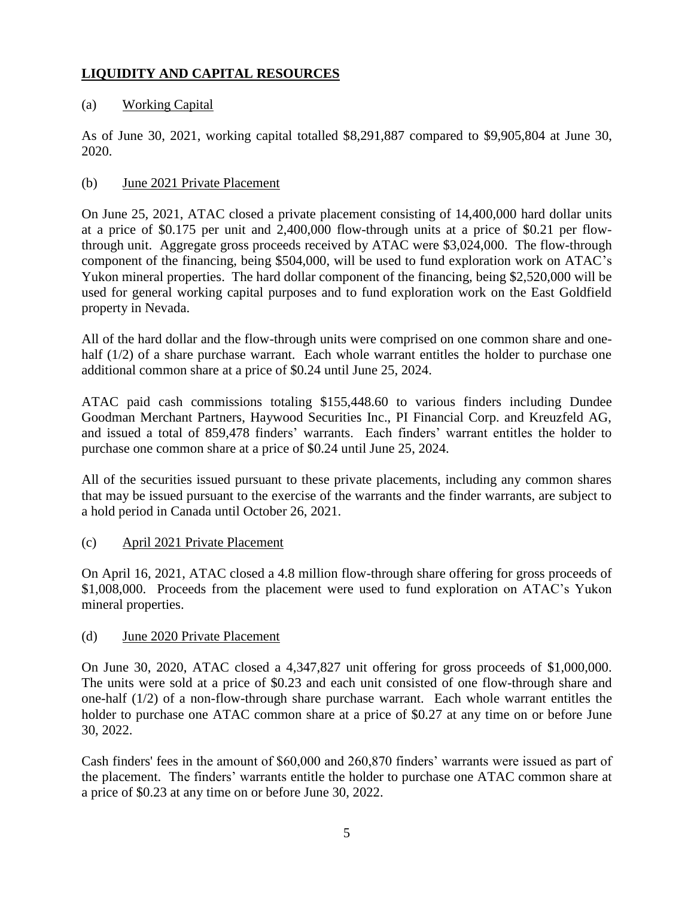# **LIQUIDITY AND CAPITAL RESOURCES**

# (a) Working Capital

As of June 30, 2021, working capital totalled \$8,291,887 compared to \$9,905,804 at June 30, 2020.

### (b) June 2021 Private Placement

On June 25, 2021, ATAC closed a private placement consisting of 14,400,000 hard dollar units at a price of \$0.175 per unit and 2,400,000 flow-through units at a price of \$0.21 per flowthrough unit. Aggregate gross proceeds received by ATAC were \$3,024,000. The flow-through component of the financing, being \$504,000, will be used to fund exploration work on ATAC's Yukon mineral properties. The hard dollar component of the financing, being \$2,520,000 will be used for general working capital purposes and to fund exploration work on the East Goldfield property in Nevada.

All of the hard dollar and the flow-through units were comprised on one common share and onehalf (1/2) of a share purchase warrant. Each whole warrant entitles the holder to purchase one additional common share at a price of \$0.24 until June 25, 2024.

ATAC paid cash commissions totaling \$155,448.60 to various finders including Dundee Goodman Merchant Partners, Haywood Securities Inc., PI Financial Corp. and Kreuzfeld AG, and issued a total of 859,478 finders' warrants. Each finders' warrant entitles the holder to purchase one common share at a price of \$0.24 until June 25, 2024.

All of the securities issued pursuant to these private placements, including any common shares that may be issued pursuant to the exercise of the warrants and the finder warrants, are subject to a hold period in Canada until October 26, 2021.

### (c) April 2021 Private Placement

On April 16, 2021, ATAC closed a 4.8 million flow-through share offering for gross proceeds of \$1,008,000. Proceeds from the placement were used to fund exploration on ATAC's Yukon mineral properties.

### (d) June 2020 Private Placement

On June 30, 2020, ATAC closed a 4,347,827 unit offering for gross proceeds of \$1,000,000. The units were sold at a price of \$0.23 and each unit consisted of one flow-through share and one-half (1/2) of a non-flow-through share purchase warrant. Each whole warrant entitles the holder to purchase one ATAC common share at a price of \$0.27 at any time on or before June 30, 2022.

Cash finders' fees in the amount of \$60,000 and 260,870 finders' warrants were issued as part of the placement. The finders' warrants entitle the holder to purchase one ATAC common share at a price of \$0.23 at any time on or before June 30, 2022.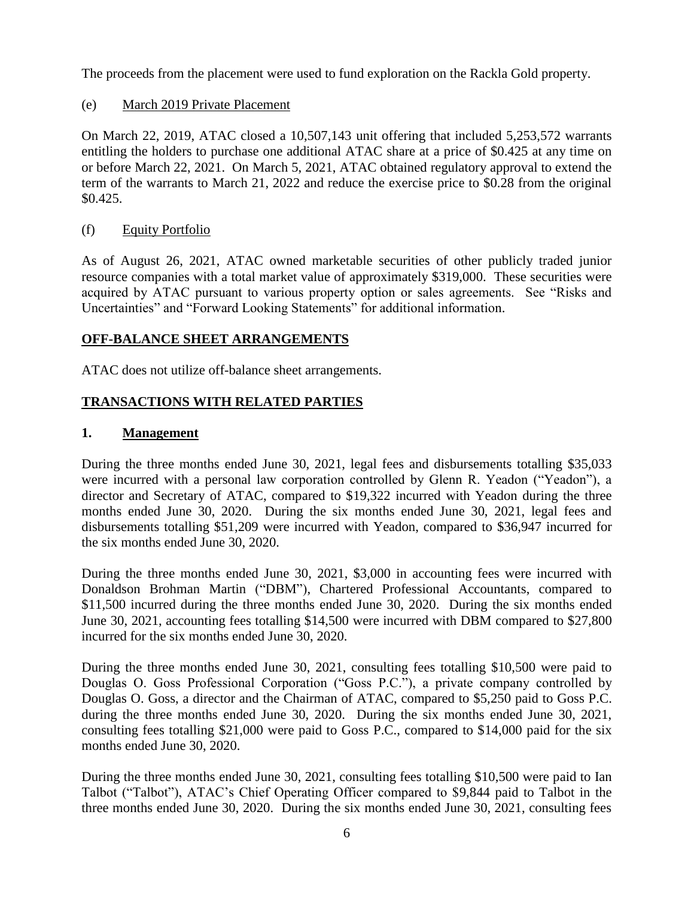The proceeds from the placement were used to fund exploration on the Rackla Gold property.

(e) March 2019 Private Placement

On March 22, 2019, ATAC closed a 10,507,143 unit offering that included 5,253,572 warrants entitling the holders to purchase one additional ATAC share at a price of \$0.425 at any time on or before March 22, 2021. On March 5, 2021, ATAC obtained regulatory approval to extend the term of the warrants to March 21, 2022 and reduce the exercise price to \$0.28 from the original \$0.425.

(f) Equity Portfolio

As of August 26, 2021, ATAC owned marketable securities of other publicly traded junior resource companies with a total market value of approximately \$319,000. These securities were acquired by ATAC pursuant to various property option or sales agreements. See "Risks and Uncertainties" and "Forward Looking Statements" for additional information.

# **OFF-BALANCE SHEET ARRANGEMENTS**

ATAC does not utilize off-balance sheet arrangements.

# **TRANSACTIONS WITH RELATED PARTIES**

# **1. Management**

During the three months ended June 30, 2021, legal fees and disbursements totalling \$35,033 were incurred with a personal law corporation controlled by Glenn R. Yeadon ("Yeadon"), a director and Secretary of ATAC, compared to \$19,322 incurred with Yeadon during the three months ended June 30, 2020. During the six months ended June 30, 2021, legal fees and disbursements totalling \$51,209 were incurred with Yeadon, compared to \$36,947 incurred for the six months ended June 30, 2020.

During the three months ended June 30, 2021, \$3,000 in accounting fees were incurred with Donaldson Brohman Martin ("DBM"), Chartered Professional Accountants, compared to \$11,500 incurred during the three months ended June 30, 2020. During the six months ended June 30, 2021, accounting fees totalling \$14,500 were incurred with DBM compared to \$27,800 incurred for the six months ended June 30, 2020.

During the three months ended June 30, 2021, consulting fees totalling \$10,500 were paid to Douglas O. Goss Professional Corporation ("Goss P.C."), a private company controlled by Douglas O. Goss, a director and the Chairman of ATAC, compared to \$5,250 paid to Goss P.C. during the three months ended June 30, 2020. During the six months ended June 30, 2021, consulting fees totalling \$21,000 were paid to Goss P.C., compared to \$14,000 paid for the six months ended June 30, 2020.

During the three months ended June 30, 2021, consulting fees totalling \$10,500 were paid to Ian Talbot ("Talbot"), ATAC's Chief Operating Officer compared to \$9,844 paid to Talbot in the three months ended June 30, 2020. During the six months ended June 30, 2021, consulting fees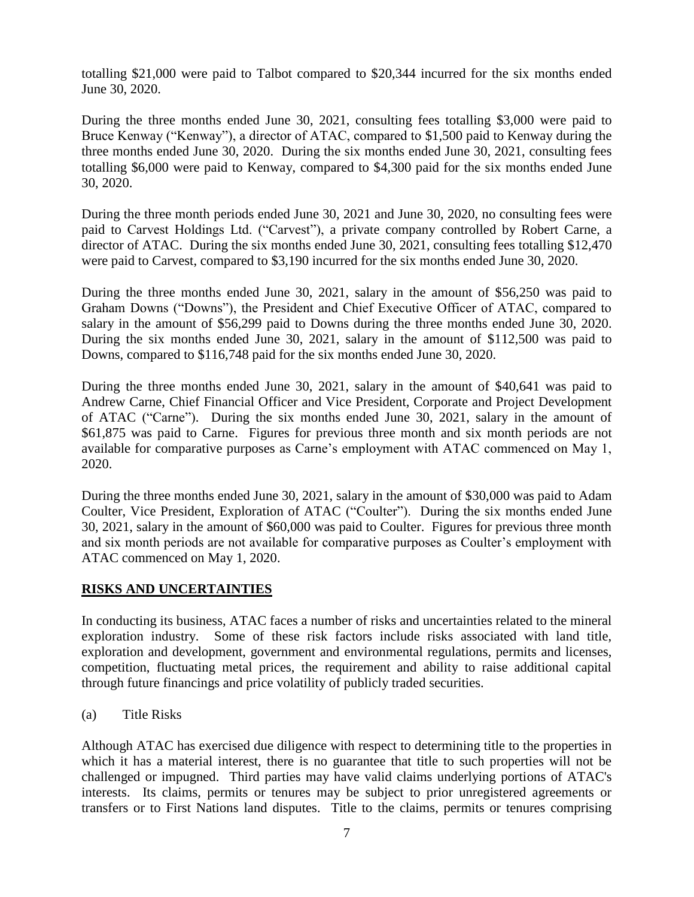totalling \$21,000 were paid to Talbot compared to \$20,344 incurred for the six months ended June 30, 2020.

During the three months ended June 30, 2021, consulting fees totalling \$3,000 were paid to Bruce Kenway ("Kenway"), a director of ATAC, compared to \$1,500 paid to Kenway during the three months ended June 30, 2020. During the six months ended June 30, 2021, consulting fees totalling \$6,000 were paid to Kenway, compared to \$4,300 paid for the six months ended June 30, 2020.

During the three month periods ended June 30, 2021 and June 30, 2020, no consulting fees were paid to Carvest Holdings Ltd. ("Carvest"), a private company controlled by Robert Carne, a director of ATAC. During the six months ended June 30, 2021, consulting fees totalling \$12,470 were paid to Carvest, compared to \$3,190 incurred for the six months ended June 30, 2020.

During the three months ended June 30, 2021, salary in the amount of \$56,250 was paid to Graham Downs ("Downs"), the President and Chief Executive Officer of ATAC, compared to salary in the amount of \$56,299 paid to Downs during the three months ended June 30, 2020. During the six months ended June 30, 2021, salary in the amount of \$112,500 was paid to Downs, compared to \$116,748 paid for the six months ended June 30, 2020.

During the three months ended June 30, 2021, salary in the amount of \$40,641 was paid to Andrew Carne, Chief Financial Officer and Vice President, Corporate and Project Development of ATAC ("Carne"). During the six months ended June 30, 2021, salary in the amount of \$61,875 was paid to Carne. Figures for previous three month and six month periods are not available for comparative purposes as Carne's employment with ATAC commenced on May 1, 2020.

During the three months ended June 30, 2021, salary in the amount of \$30,000 was paid to Adam Coulter, Vice President, Exploration of ATAC ("Coulter"). During the six months ended June 30, 2021, salary in the amount of \$60,000 was paid to Coulter. Figures for previous three month and six month periods are not available for comparative purposes as Coulter's employment with ATAC commenced on May 1, 2020.

# **RISKS AND UNCERTAINTIES**

In conducting its business, ATAC faces a number of risks and uncertainties related to the mineral exploration industry. Some of these risk factors include risks associated with land title, exploration and development, government and environmental regulations, permits and licenses, competition, fluctuating metal prices, the requirement and ability to raise additional capital through future financings and price volatility of publicly traded securities.

(a) Title Risks

Although ATAC has exercised due diligence with respect to determining title to the properties in which it has a material interest, there is no guarantee that title to such properties will not be challenged or impugned. Third parties may have valid claims underlying portions of ATAC's interests. Its claims, permits or tenures may be subject to prior unregistered agreements or transfers or to First Nations land disputes. Title to the claims, permits or tenures comprising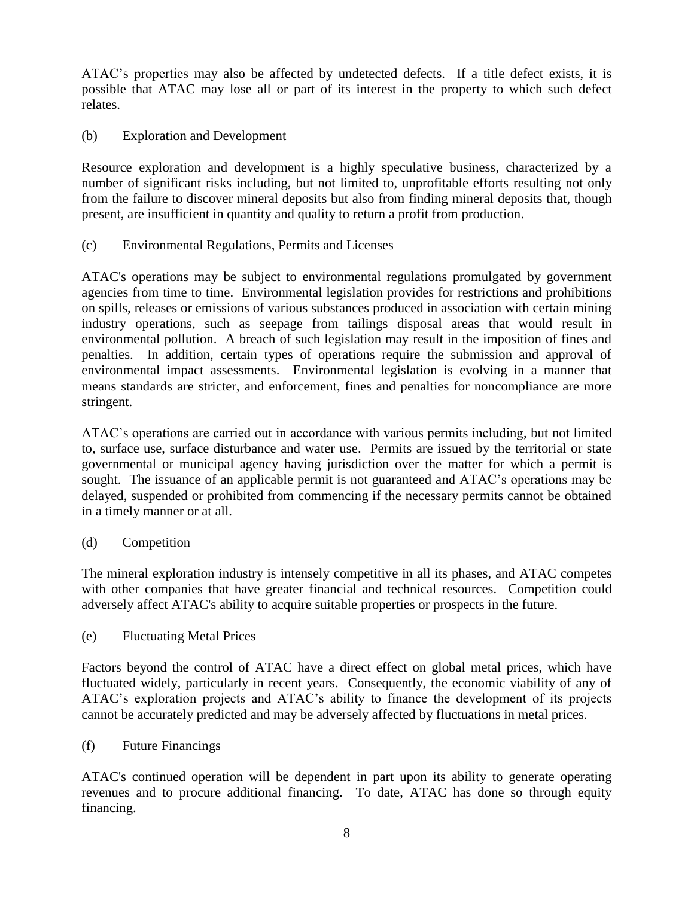ATAC's properties may also be affected by undetected defects. If a title defect exists, it is possible that ATAC may lose all or part of its interest in the property to which such defect relates.

(b) Exploration and Development

Resource exploration and development is a highly speculative business, characterized by a number of significant risks including, but not limited to, unprofitable efforts resulting not only from the failure to discover mineral deposits but also from finding mineral deposits that, though present, are insufficient in quantity and quality to return a profit from production.

(c) Environmental Regulations, Permits and Licenses

ATAC's operations may be subject to environmental regulations promulgated by government agencies from time to time. Environmental legislation provides for restrictions and prohibitions on spills, releases or emissions of various substances produced in association with certain mining industry operations, such as seepage from tailings disposal areas that would result in environmental pollution. A breach of such legislation may result in the imposition of fines and penalties. In addition, certain types of operations require the submission and approval of environmental impact assessments. Environmental legislation is evolving in a manner that means standards are stricter, and enforcement, fines and penalties for noncompliance are more stringent.

ATAC's operations are carried out in accordance with various permits including, but not limited to, surface use, surface disturbance and water use. Permits are issued by the territorial or state governmental or municipal agency having jurisdiction over the matter for which a permit is sought. The issuance of an applicable permit is not guaranteed and ATAC's operations may be delayed, suspended or prohibited from commencing if the necessary permits cannot be obtained in a timely manner or at all.

(d) Competition

The mineral exploration industry is intensely competitive in all its phases, and ATAC competes with other companies that have greater financial and technical resources. Competition could adversely affect ATAC's ability to acquire suitable properties or prospects in the future.

(e) Fluctuating Metal Prices

Factors beyond the control of ATAC have a direct effect on global metal prices, which have fluctuated widely, particularly in recent years. Consequently, the economic viability of any of ATAC's exploration projects and ATAC's ability to finance the development of its projects cannot be accurately predicted and may be adversely affected by fluctuations in metal prices.

(f) Future Financings

ATAC's continued operation will be dependent in part upon its ability to generate operating revenues and to procure additional financing. To date, ATAC has done so through equity financing.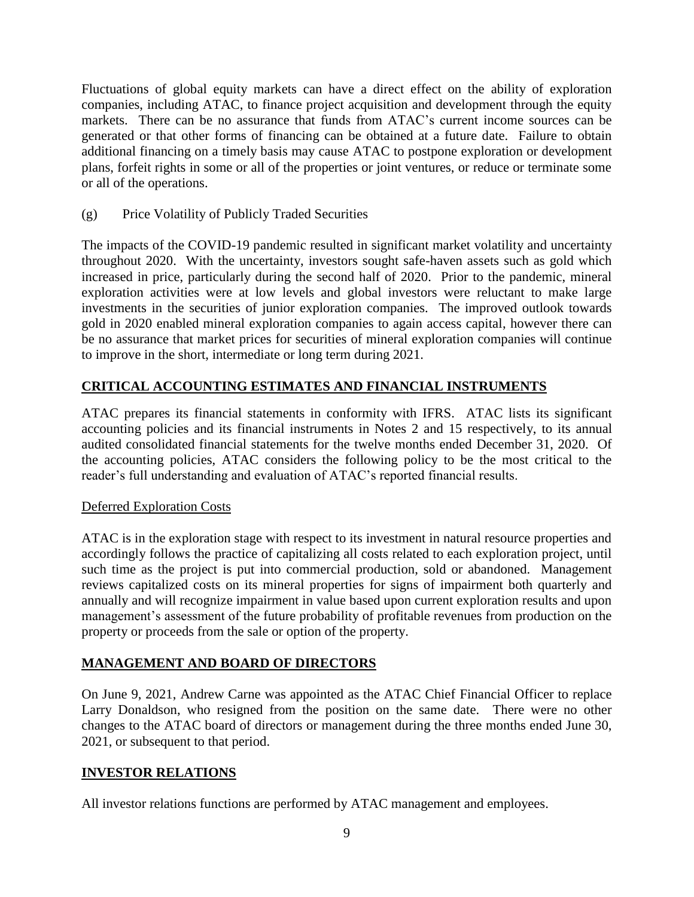Fluctuations of global equity markets can have a direct effect on the ability of exploration companies, including ATAC, to finance project acquisition and development through the equity markets. There can be no assurance that funds from ATAC's current income sources can be generated or that other forms of financing can be obtained at a future date. Failure to obtain additional financing on a timely basis may cause ATAC to postpone exploration or development plans, forfeit rights in some or all of the properties or joint ventures, or reduce or terminate some or all of the operations.

(g) Price Volatility of Publicly Traded Securities

The impacts of the COVID-19 pandemic resulted in significant market volatility and uncertainty throughout 2020. With the uncertainty, investors sought safe-haven assets such as gold which increased in price, particularly during the second half of 2020. Prior to the pandemic, mineral exploration activities were at low levels and global investors were reluctant to make large investments in the securities of junior exploration companies. The improved outlook towards gold in 2020 enabled mineral exploration companies to again access capital, however there can be no assurance that market prices for securities of mineral exploration companies will continue to improve in the short, intermediate or long term during 2021.

# **CRITICAL ACCOUNTING ESTIMATES AND FINANCIAL INSTRUMENTS**

ATAC prepares its financial statements in conformity with IFRS. ATAC lists its significant accounting policies and its financial instruments in Notes 2 and 15 respectively, to its annual audited consolidated financial statements for the twelve months ended December 31, 2020. Of the accounting policies, ATAC considers the following policy to be the most critical to the reader's full understanding and evaluation of ATAC's reported financial results.

# Deferred Exploration Costs

ATAC is in the exploration stage with respect to its investment in natural resource properties and accordingly follows the practice of capitalizing all costs related to each exploration project, until such time as the project is put into commercial production, sold or abandoned. Management reviews capitalized costs on its mineral properties for signs of impairment both quarterly and annually and will recognize impairment in value based upon current exploration results and upon management's assessment of the future probability of profitable revenues from production on the property or proceeds from the sale or option of the property.

# **MANAGEMENT AND BOARD OF DIRECTORS**

On June 9, 2021, Andrew Carne was appointed as the ATAC Chief Financial Officer to replace Larry Donaldson, who resigned from the position on the same date. There were no other changes to the ATAC board of directors or management during the three months ended June 30, 2021, or subsequent to that period.

# **INVESTOR RELATIONS**

All investor relations functions are performed by ATAC management and employees.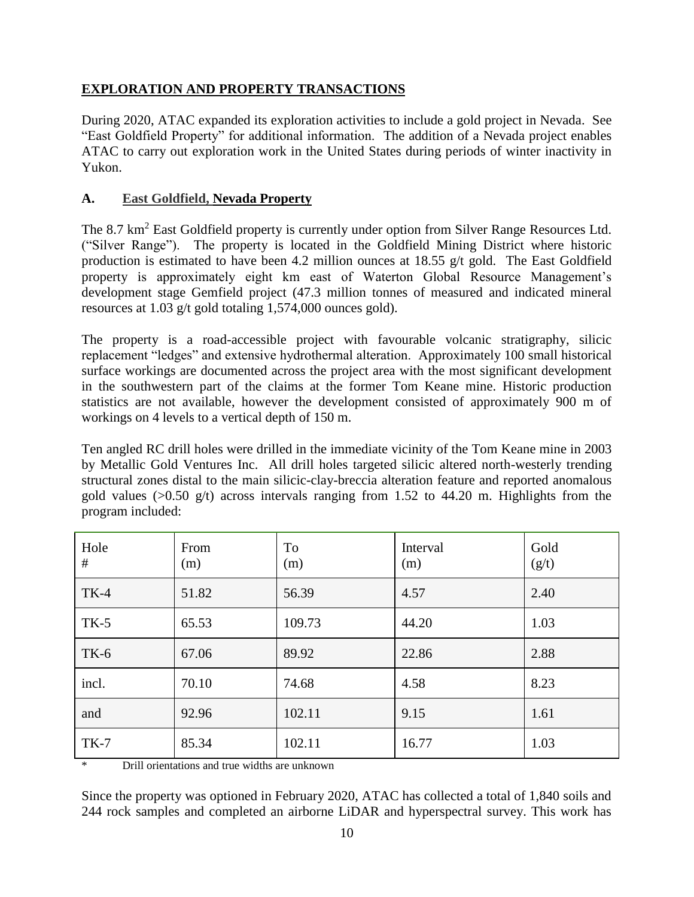# **EXPLORATION AND PROPERTY TRANSACTIONS**

During 2020, ATAC expanded its exploration activities to include a gold project in Nevada. See "East Goldfield Property" for additional information. The addition of a Nevada project enables ATAC to carry out exploration work in the United States during periods of winter inactivity in Yukon.

# **A. East Goldfield, Nevada Property**

The 8.7 km<sup>2</sup> East Goldfield property is currently under option from Silver Range Resources Ltd. ("Silver Range"). The property is located in the Goldfield Mining District where historic production is estimated to have been 4.2 million ounces at 18.55 g/t gold. The East Goldfield property is approximately eight km east of Waterton Global Resource Management's development stage Gemfield project (47.3 million tonnes of measured and indicated mineral resources at 1.03 g/t gold totaling 1,574,000 ounces gold).

The property is a road-accessible project with favourable volcanic stratigraphy, silicic replacement "ledges" and extensive hydrothermal alteration. Approximately 100 small historical surface workings are documented across the project area with the most significant development in the southwestern part of the claims at the former Tom Keane mine. Historic production statistics are not available, however the development consisted of approximately 900 m of workings on 4 levels to a vertical depth of 150 m.

Ten angled RC drill holes were drilled in the immediate vicinity of the Tom Keane mine in 2003 by Metallic Gold Ventures Inc. All drill holes targeted silicic altered north-westerly trending structural zones distal to the main silicic-clay-breccia alteration feature and reported anomalous gold values ( $>0.50$  g/t) across intervals ranging from 1.52 to 44.20 m. Highlights from the program included:

| Hole<br># | From<br>(m) | To<br>(m) | Interval<br>(m) | Gold<br>(g/t) |
|-----------|-------------|-----------|-----------------|---------------|
| $TK-4$    | 51.82       | 56.39     | 4.57            | 2.40          |
| $TK-5$    | 65.53       | 109.73    | 44.20           | 1.03          |
| $TK-6$    | 67.06       | 89.92     | 22.86           | 2.88          |
| incl.     | 70.10       | 74.68     | 4.58            | 8.23          |
| and       | 92.96       | 102.11    | 9.15            | 1.61          |
| $TK-7$    | 85.34       | 102.11    | 16.77           | 1.03          |

\* Drill orientations and true widths are unknown

Since the property was optioned in February 2020, ATAC has collected a total of 1,840 soils and 244 rock samples and completed an airborne LiDAR and hyperspectral survey. This work has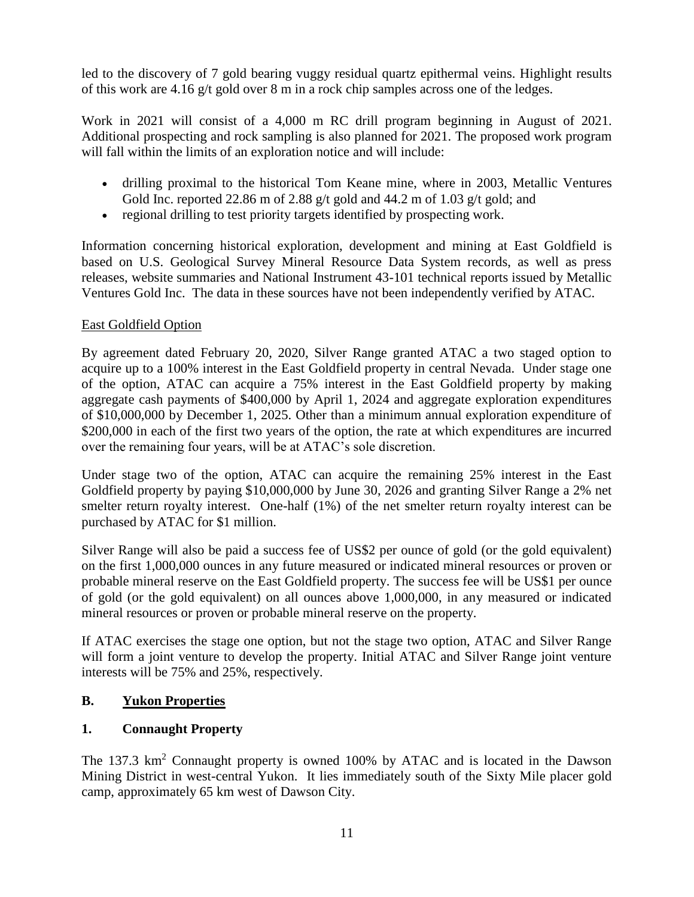led to the discovery of 7 gold bearing vuggy residual quartz epithermal veins. Highlight results of this work are 4.16 g/t gold over 8 m in a rock chip samples across one of the ledges.

Work in 2021 will consist of a 4,000 m RC drill program beginning in August of 2021. Additional prospecting and rock sampling is also planned for 2021. The proposed work program will fall within the limits of an exploration notice and will include:

- drilling proximal to the historical Tom Keane mine, where in 2003, Metallic Ventures Gold Inc. reported 22.86 m of 2.88 g/t gold and 44.2 m of 1.03 g/t gold; and
- regional drilling to test priority targets identified by prospecting work.

Information concerning historical exploration, development and mining at East Goldfield is based on U.S. Geological Survey Mineral Resource Data System records, as well as press releases, website summaries and National Instrument 43-101 technical reports issued by Metallic Ventures Gold Inc. The data in these sources have not been independently verified by ATAC.

# East Goldfield Option

By agreement dated February 20, 2020, Silver Range granted ATAC a two staged option to acquire up to a 100% interest in the East Goldfield property in central Nevada. Under stage one of the option, ATAC can acquire a 75% interest in the East Goldfield property by making aggregate cash payments of \$400,000 by April 1, 2024 and aggregate exploration expenditures of \$10,000,000 by December 1, 2025. Other than a minimum annual exploration expenditure of \$200,000 in each of the first two years of the option, the rate at which expenditures are incurred over the remaining four years, will be at ATAC's sole discretion.

Under stage two of the option, ATAC can acquire the remaining 25% interest in the East Goldfield property by paying \$10,000,000 by June 30, 2026 and granting Silver Range a 2% net smelter return royalty interest. One-half (1%) of the net smelter return royalty interest can be purchased by ATAC for \$1 million.

Silver Range will also be paid a success fee of US\$2 per ounce of gold (or the gold equivalent) on the first 1,000,000 ounces in any future measured or indicated mineral resources or proven or probable mineral reserve on the East Goldfield property. The success fee will be US\$1 per ounce of gold (or the gold equivalent) on all ounces above 1,000,000, in any measured or indicated mineral resources or proven or probable mineral reserve on the property.

If ATAC exercises the stage one option, but not the stage two option, ATAC and Silver Range will form a joint venture to develop the property. Initial ATAC and Silver Range joint venture interests will be 75% and 25%, respectively.

# **B. Yukon Properties**

# **1. Connaught Property**

The 137.3 km<sup>2</sup> Connaught property is owned 100% by ATAC and is located in the Dawson Mining District in west-central Yukon. It lies immediately south of the Sixty Mile placer gold camp, approximately 65 km west of Dawson City.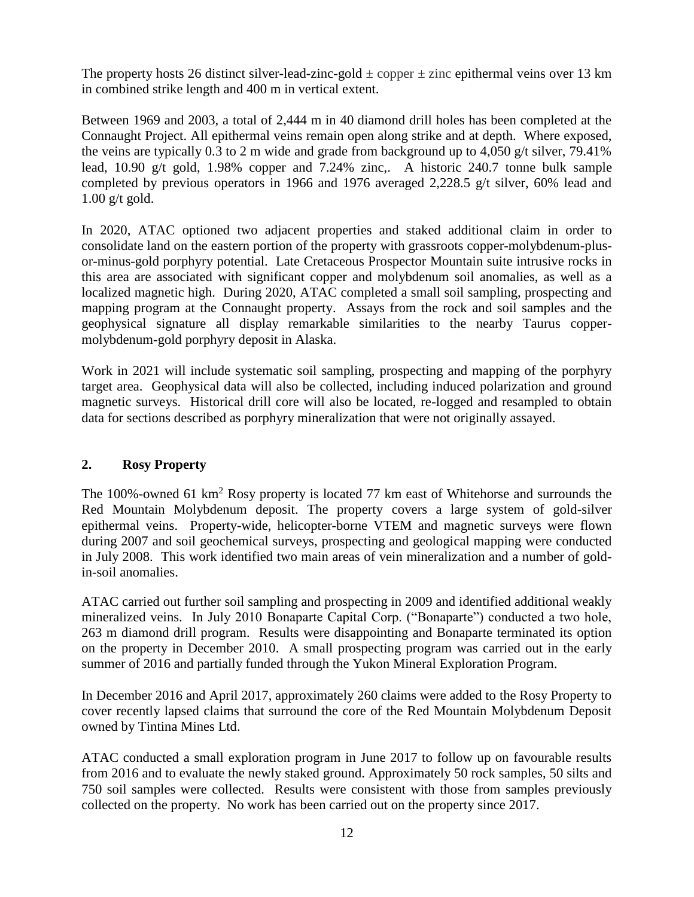The property hosts 26 distinct silver-lead-zinc-gold  $\pm$  copper  $\pm$  zinc epithermal veins over 13 km in combined strike length and 400 m in vertical extent.

Between 1969 and 2003, a total of 2,444 m in 40 diamond drill holes has been completed at the Connaught Project. All epithermal veins remain open along strike and at depth. Where exposed, the veins are typically  $0.3$  to 2 m wide and grade from background up to 4,050 g/t silver, 79.41% lead, 10.90 g/t gold, 1.98% copper and 7.24% zinc,. A historic 240.7 tonne bulk sample completed by previous operators in 1966 and 1976 averaged 2,228.5 g/t silver, 60% lead and  $1.00$  g/t gold.

In 2020, ATAC optioned two adjacent properties and staked additional claim in order to consolidate land on the eastern portion of the property with grassroots copper-molybdenum-plusor-minus-gold porphyry potential. Late Cretaceous Prospector Mountain suite intrusive rocks in this area are associated with significant copper and molybdenum soil anomalies, as well as a localized magnetic high. During 2020, ATAC completed a small soil sampling, prospecting and mapping program at the Connaught property. Assays from the rock and soil samples and the geophysical signature all display remarkable similarities to the nearby Taurus coppermolybdenum-gold porphyry deposit in Alaska.

Work in 2021 will include systematic soil sampling, prospecting and mapping of the porphyry target area. Geophysical data will also be collected, including induced polarization and ground magnetic surveys. Historical drill core will also be located, re-logged and resampled to obtain data for sections described as porphyry mineralization that were not originally assayed.

# **2. Rosy Property**

The 100%-owned 61 km<sup>2</sup> Rosy property is located 77 km east of Whitehorse and surrounds the Red Mountain Molybdenum deposit. The property covers a large system of gold-silver epithermal veins. Property-wide, helicopter-borne VTEM and magnetic surveys were flown during 2007 and soil geochemical surveys, prospecting and geological mapping were conducted in July 2008. This work identified two main areas of vein mineralization and a number of goldin-soil anomalies.

ATAC carried out further soil sampling and prospecting in 2009 and identified additional weakly mineralized veins. In July 2010 Bonaparte Capital Corp. ("Bonaparte") conducted a two hole, 263 m diamond drill program. Results were disappointing and Bonaparte terminated its option on the property in December 2010. A small prospecting program was carried out in the early summer of 2016 and partially funded through the Yukon Mineral Exploration Program.

In December 2016 and April 2017, approximately 260 claims were added to the Rosy Property to cover recently lapsed claims that surround the core of the Red Mountain Molybdenum Deposit owned by Tintina Mines Ltd.

ATAC conducted a small exploration program in June 2017 to follow up on favourable results from 2016 and to evaluate the newly staked ground. Approximately 50 rock samples, 50 silts and 750 soil samples were collected. Results were consistent with those from samples previously collected on the property. No work has been carried out on the property since 2017.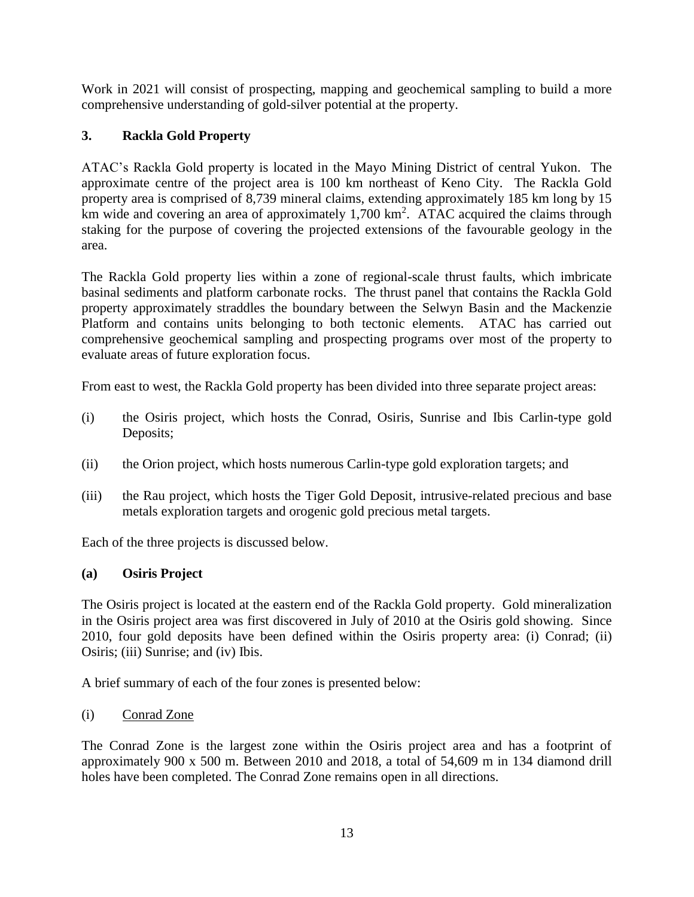Work in 2021 will consist of prospecting, mapping and geochemical sampling to build a more comprehensive understanding of gold-silver potential at the property.

# **3. Rackla Gold Property**

ATAC's Rackla Gold property is located in the Mayo Mining District of central Yukon. The approximate centre of the project area is 100 km northeast of Keno City. The Rackla Gold property area is comprised of 8,739 mineral claims, extending approximately 185 km long by 15 km wide and covering an area of approximately  $1,700 \text{ km}^2$ . ATAC acquired the claims through staking for the purpose of covering the projected extensions of the favourable geology in the area.

The Rackla Gold property lies within a zone of regional-scale thrust faults, which imbricate basinal sediments and platform carbonate rocks. The thrust panel that contains the Rackla Gold property approximately straddles the boundary between the Selwyn Basin and the Mackenzie Platform and contains units belonging to both tectonic elements. ATAC has carried out comprehensive geochemical sampling and prospecting programs over most of the property to evaluate areas of future exploration focus.

From east to west, the Rackla Gold property has been divided into three separate project areas:

- (i) the Osiris project, which hosts the Conrad, Osiris, Sunrise and Ibis Carlin-type gold Deposits;
- (ii) the Orion project, which hosts numerous Carlin-type gold exploration targets; and
- (iii) the Rau project, which hosts the Tiger Gold Deposit, intrusive-related precious and base metals exploration targets and orogenic gold precious metal targets.

Each of the three projects is discussed below.

# **(a) Osiris Project**

The Osiris project is located at the eastern end of the Rackla Gold property. Gold mineralization in the Osiris project area was first discovered in July of 2010 at the Osiris gold showing. Since 2010, four gold deposits have been defined within the Osiris property area: (i) Conrad; (ii) Osiris; (iii) Sunrise; and (iv) Ibis.

A brief summary of each of the four zones is presented below:

(i) Conrad Zone

The Conrad Zone is the largest zone within the Osiris project area and has a footprint of approximately 900 x 500 m. Between 2010 and 2018, a total of 54,609 m in 134 diamond drill holes have been completed. The Conrad Zone remains open in all directions.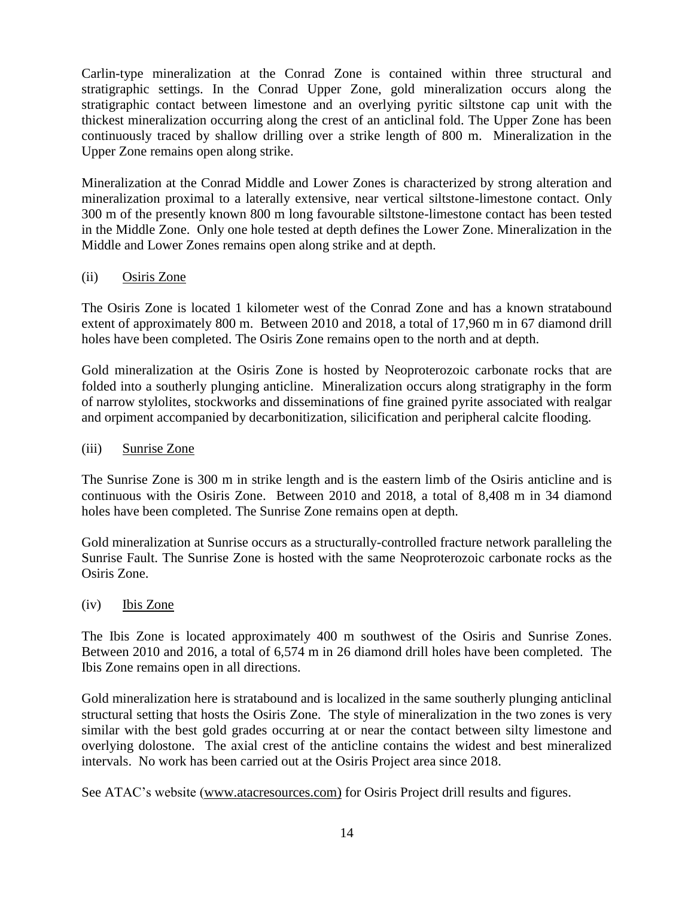Carlin-type mineralization at the Conrad Zone is contained within three structural and stratigraphic settings. In the Conrad Upper Zone, gold mineralization occurs along the stratigraphic contact between limestone and an overlying pyritic siltstone cap unit with the thickest mineralization occurring along the crest of an anticlinal fold. The Upper Zone has been continuously traced by shallow drilling over a strike length of 800 m. Mineralization in the Upper Zone remains open along strike.

Mineralization at the Conrad Middle and Lower Zones is characterized by strong alteration and mineralization proximal to a laterally extensive, near vertical siltstone-limestone contact. Only 300 m of the presently known 800 m long favourable siltstone-limestone contact has been tested in the Middle Zone. Only one hole tested at depth defines the Lower Zone. Mineralization in the Middle and Lower Zones remains open along strike and at depth.

# (ii) Osiris Zone

The Osiris Zone is located 1 kilometer west of the Conrad Zone and has a known stratabound extent of approximately 800 m. Between 2010 and 2018, a total of 17,960 m in 67 diamond drill holes have been completed. The Osiris Zone remains open to the north and at depth.

Gold mineralization at the Osiris Zone is hosted by Neoproterozoic carbonate rocks that are folded into a southerly plunging anticline. Mineralization occurs along stratigraphy in the form of narrow stylolites, stockworks and disseminations of fine grained pyrite associated with realgar and orpiment accompanied by decarbonitization, silicification and peripheral calcite flooding.

### (iii) Sunrise Zone

The Sunrise Zone is 300 m in strike length and is the eastern limb of the Osiris anticline and is continuous with the Osiris Zone. Between 2010 and 2018, a total of 8,408 m in 34 diamond holes have been completed. The Sunrise Zone remains open at depth.

Gold mineralization at Sunrise occurs as a structurally-controlled fracture network paralleling the Sunrise Fault. The Sunrise Zone is hosted with the same Neoproterozoic carbonate rocks as the Osiris Zone.

### (iv) Ibis Zone

The Ibis Zone is located approximately 400 m southwest of the Osiris and Sunrise Zones. Between 2010 and 2016, a total of 6,574 m in 26 diamond drill holes have been completed. The Ibis Zone remains open in all directions.

Gold mineralization here is stratabound and is localized in the same southerly plunging anticlinal structural setting that hosts the Osiris Zone. The style of mineralization in the two zones is very similar with the best gold grades occurring at or near the contact between silty limestone and overlying dolostone. The axial crest of the anticline contains the widest and best mineralized intervals. No work has been carried out at the Osiris Project area since 2018.

See ATAC's website [\(www.atacresources.com\)](http://www.atacresources.com/) for Osiris Project drill results and figures.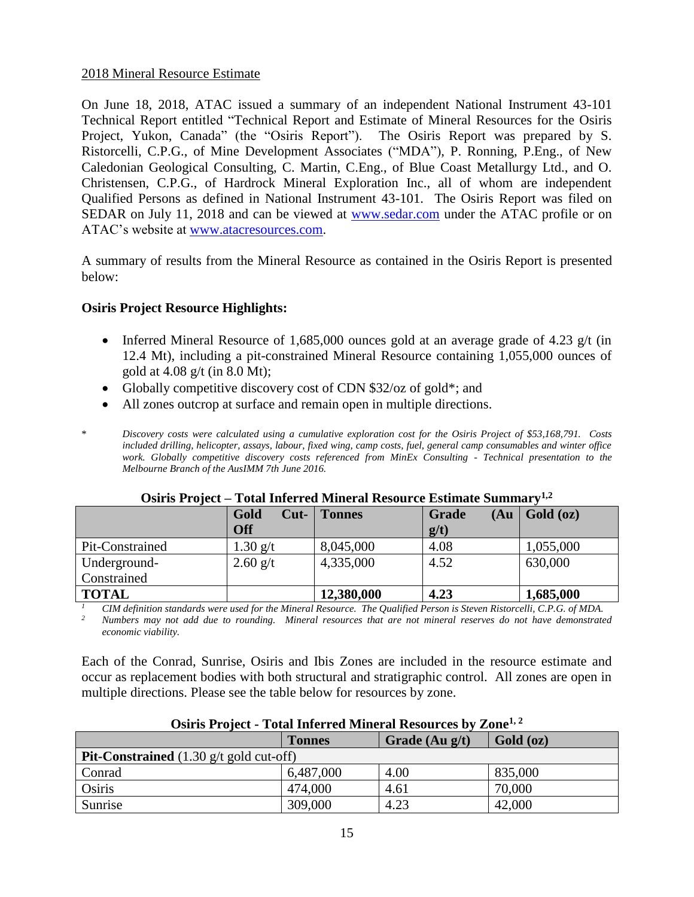### 2018 Mineral Resource Estimate

On June 18, 2018, ATAC issued a summary of an independent National Instrument 43-101 Technical Report entitled ["Technical Report and Estimate of Mineral Resources for the Osiris](http://www.atacresources.com/assets/img/Osiris_Resource_Estimate_and_Technical_Report_2018.pdf)  [Project, Yukon, Canada"](http://www.atacresources.com/assets/img/Osiris_Resource_Estimate_and_Technical_Report_2018.pdf) (the "Osiris Report"). The Osiris Report was prepared by S. Ristorcelli, C.P.G., of Mine Development Associates ("MDA"), P. Ronning, P.Eng., of New Caledonian Geological Consulting, C. Martin, C.Eng., of Blue Coast Metallurgy Ltd., and O. Christensen, C.P.G., of Hardrock Mineral Exploration Inc., all of whom are independent Qualified Persons as defined in National Instrument 43-101. The Osiris Report was filed on SEDAR on July 11, 2018 and can be viewed at [www.sedar.com](http://www.sedar.com/) under the ATAC profile or on ATAC's website at [www.atacresources.com.](http://www.atacresources.com/)

A summary of results from the Mineral Resource as contained in the Osiris Report is presented below:

### **Osiris Project Resource Highlights:**

- Inferred Mineral Resource of 1,685,000 ounces gold at an average grade of 4.23  $g/t$  (in 12.4 Mt), including a pit-constrained Mineral Resource containing 1,055,000 ounces of gold at  $4.08$  g/t (in  $8.0$  Mt);
- Globally competitive discovery cost of CDN \$32/oz of gold\*; and
- All zones outcrop at surface and remain open in multiple directions.
- \* *Discovery costs were calculated using a cumulative exploration cost for the Osiris Project of \$53,168,791. Costs included drilling, helicopter, assays, labour, fixed wing, camp costs, fuel, general camp consumables and winter office work. Globally competitive discovery costs referenced from MinEx Consulting - Technical presentation to the Melbourne Branch of the AusIMM 7th June 2016.*

| <b>ODILIO L'EUTRE</b> |                | Tomi micrica Mincrai Resource Estimate Summar |               |           |  |  |  |
|-----------------------|----------------|-----------------------------------------------|---------------|-----------|--|--|--|
|                       | Gold<br>$Cut-$ | <b>Tonnes</b>                                 | Grade<br>(Au) | Gold (oz) |  |  |  |
|                       | <b>Off</b>     |                                               | $g/t$ )       |           |  |  |  |
| Pit-Constrained       | 1.30 $g/t$     | 8,045,000                                     | 4.08          | 1,055,000 |  |  |  |
| Underground-          | $2.60$ g/t     | 4,335,000                                     | 4.52          | 630,000   |  |  |  |
| Constrained           |                |                                               |               |           |  |  |  |
| <b>TOTAL</b>          |                | 12,380,000                                    | 4.23          | 1,685,000 |  |  |  |

**Osiris Project – Total Inferred Mineral Resource Estimate Summary1,2**

*<sup>1</sup> CIM definition standards were used for the Mineral Resource. The Qualified Person is Steven Ristorcelli, C.P.G. of MDA. <sup>2</sup> Numbers may not add due to rounding. Mineral resources that are not mineral reserves do not have demonstrated economic viability.* 

Each of the Conrad, Sunrise, Osiris and Ibis Zones are included in the resource estimate and occur as replacement bodies with both structural and stratigraphic control. All zones are open in multiple directions. Please see the table below for resources by zone.

| OSILIS I TOJECU - TUGH INICITED IVILIICI AT INESULTUS DY ZUIIU   |               |                  |           |  |  |
|------------------------------------------------------------------|---------------|------------------|-----------|--|--|
|                                                                  | <b>Tonnes</b> | Grade $(Au g/t)$ | Gold (oz) |  |  |
| <b>Pit-Constrained</b> $(1.30 \text{ g/t} \text{ gold cut-off})$ |               |                  |           |  |  |
| Conrad                                                           | 6,487,000     | 4.00             | 835,000   |  |  |
| Osiris                                                           | 474,000       | 4.61             | 70,000    |  |  |
| Sunrise                                                          | 309,000       | 4.23             | 42,000    |  |  |

### **Osiris Project - Total Inferred Mineral Resources by Zone1, 2**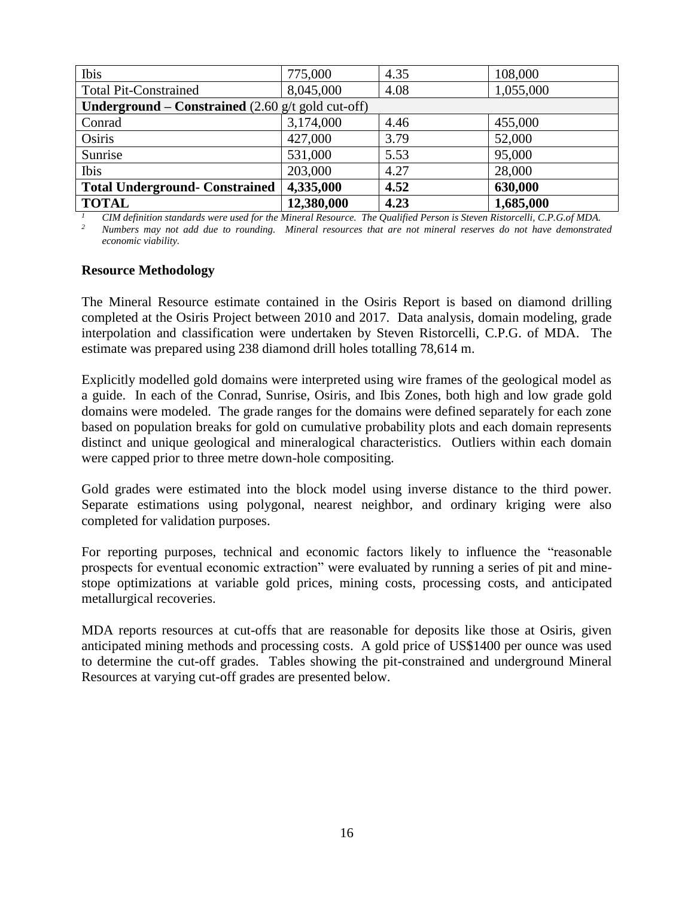| Ibis                                                                       | 775,000    | 4.35 | 108,000   |
|----------------------------------------------------------------------------|------------|------|-----------|
| <b>Total Pit-Constrained</b>                                               | 8,045,000  | 4.08 | 1,055,000 |
| <b>Underground – Constrained</b> $(2.60 \text{ g/t} \text{ gold cut-off})$ |            |      |           |
| Conrad                                                                     | 3,174,000  | 4.46 | 455,000   |
| Osiris                                                                     | 427,000    | 3.79 | 52,000    |
| Sunrise                                                                    | 531,000    | 5.53 | 95,000    |
| Ibis                                                                       | 203,000    | 4.27 | 28,000    |
| <b>Total Underground- Constrained</b>                                      | 4,335,000  | 4.52 | 630,000   |
| <b>TOTAL</b>                                                               | 12,380,000 | 4.23 | 1,685,000 |

*<sup>1</sup> CIM definition standards were used for the Mineral Resource. The Qualified Person is Steven Ristorcelli, C.P.G.of MDA. <sup>2</sup> Numbers may not add due to rounding. Mineral resources that are not mineral reserves do not have demonstrated economic viability.* 

#### **Resource Methodology**

The Mineral Resource estimate contained in the Osiris Report is based on diamond drilling completed at the Osiris Project between 2010 and 2017. Data analysis, domain modeling, grade interpolation and classification were undertaken by Steven Ristorcelli, C.P.G. of MDA. The estimate was prepared using 238 diamond drill holes totalling 78,614 m.

Explicitly modelled gold domains were interpreted using wire frames of the geological model as a guide. In each of the Conrad, Sunrise, Osiris, and Ibis Zones, both high and low grade gold domains were modeled. The grade ranges for the domains were defined separately for each zone based on population breaks for gold on cumulative probability plots and each domain represents distinct and unique geological and mineralogical characteristics. Outliers within each domain were capped prior to three metre down-hole compositing.

Gold grades were estimated into the block model using inverse distance to the third power. Separate estimations using polygonal, nearest neighbor, and ordinary kriging were also completed for validation purposes.

For reporting purposes, technical and economic factors likely to influence the "reasonable prospects for eventual economic extraction" were evaluated by running a series of pit and minestope optimizations at variable gold prices, mining costs, processing costs, and anticipated metallurgical recoveries.

MDA reports resources at cut-offs that are reasonable for deposits like those at Osiris, given anticipated mining methods and processing costs. A gold price of US\$1400 per ounce was used to determine the cut-off grades. Tables showing the pit-constrained and underground Mineral Resources at varying cut-off grades are presented below.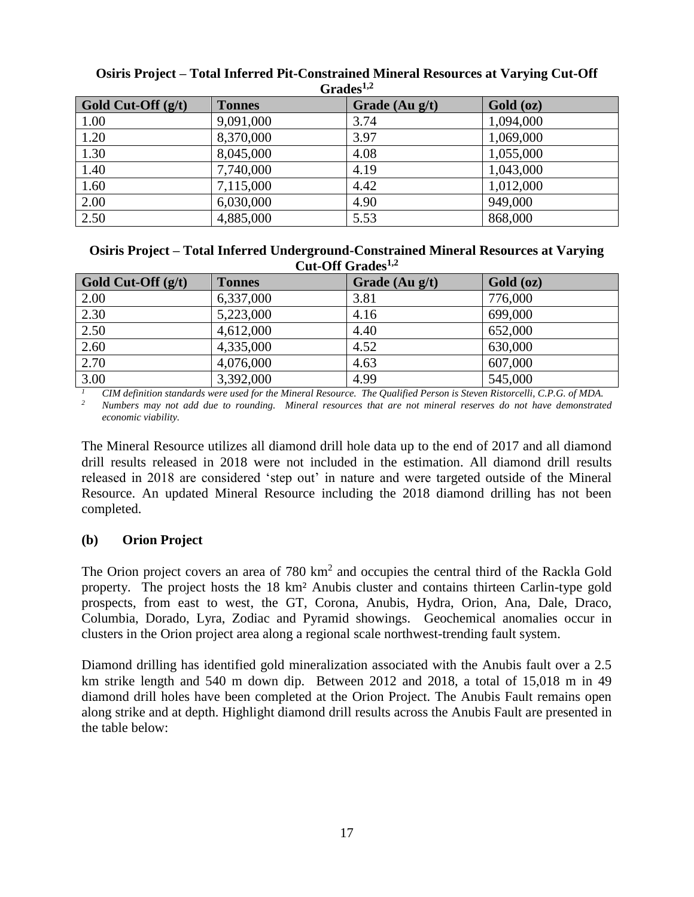| <b>Strauts</b>       |               |                |           |  |  |
|----------------------|---------------|----------------|-----------|--|--|
| Gold Cut-Off $(g/t)$ | <b>Tonnes</b> | Grade (Au g/t) | Gold (oz) |  |  |
| 1.00                 | 9,091,000     | 3.74           | 1,094,000 |  |  |
| 1.20                 | 8,370,000     | 3.97           | 1,069,000 |  |  |
| 1.30                 | 8,045,000     | 4.08           | 1,055,000 |  |  |
| 1.40                 | 7,740,000     | 4.19           | 1,043,000 |  |  |
| 1.60                 | 7,115,000     | 4.42           | 1,012,000 |  |  |
| 2.00                 | 6,030,000     | 4.90           | 949,000   |  |  |
| 2.50                 | 4,885,000     | 5.53           | 868,000   |  |  |

#### **Osiris Project – Total Inferred Pit-Constrained Mineral Resources at Varying Cut-Off Grades1,2**

#### **Osiris Project – Total Inferred Underground-Constrained Mineral Resources at Varying Cut-Off Grades1,2**

| Gold Cut-Off $(g/t)$ | <b>Tonnes</b> | Grade $(Au g/t)$ | Gold (oz) |  |  |
|----------------------|---------------|------------------|-----------|--|--|
| 2.00                 | 6,337,000     | 3.81             | 776,000   |  |  |
| 2.30                 | 5,223,000     | 4.16             | 699,000   |  |  |
| 2.50                 | 4,612,000     | 4.40             | 652,000   |  |  |
| 2.60                 | 4,335,000     | 4.52             | 630,000   |  |  |
| 2.70                 | 4,076,000     | 4.63             | 607,000   |  |  |
| 3.00                 | 3,392,000     | 4.99             | 545,000   |  |  |

<sup>1</sup> *CIM definition standards were used for the Mineral Resource. The Qualified Person is Steven Ristorcelli, C.P.G. of MDA.* $\frac{2}{\pi}$ *Numbers* **was not add due to rounding. Mineral resources that are not mineral reserv** 

*<sup>2</sup> Numbers may not add due to rounding. Mineral resources that are not mineral reserves do not have demonstrated economic viability.* 

The Mineral Resource utilizes all diamond drill hole data up to the end of 2017 and all diamond drill results released in 2018 were not included in the estimation. All diamond drill results released in 2018 are considered 'step out' in nature and were targeted outside of the Mineral Resource. An updated Mineral Resource including the 2018 diamond drilling has not been completed.

# **(b) Orion Project**

The Orion project covers an area of  $780 \text{ km}^2$  and occupies the central third of the Rackla Gold property. The project hosts the 18 km² Anubis cluster and contains thirteen Carlin-type gold prospects, from east to west, the GT, Corona, Anubis, Hydra, Orion, Ana, Dale, Draco, Columbia, Dorado, Lyra, Zodiac and Pyramid showings. Geochemical anomalies occur in clusters in the Orion project area along a regional scale northwest-trending fault system.

Diamond drilling has identified gold mineralization associated with the Anubis fault over a 2.5 km strike length and 540 m down dip. Between 2012 and 2018, a total of 15,018 m in 49 diamond drill holes have been completed at the Orion Project. The Anubis Fault remains open along strike and at depth. Highlight diamond drill results across the Anubis Fault are presented in the table below: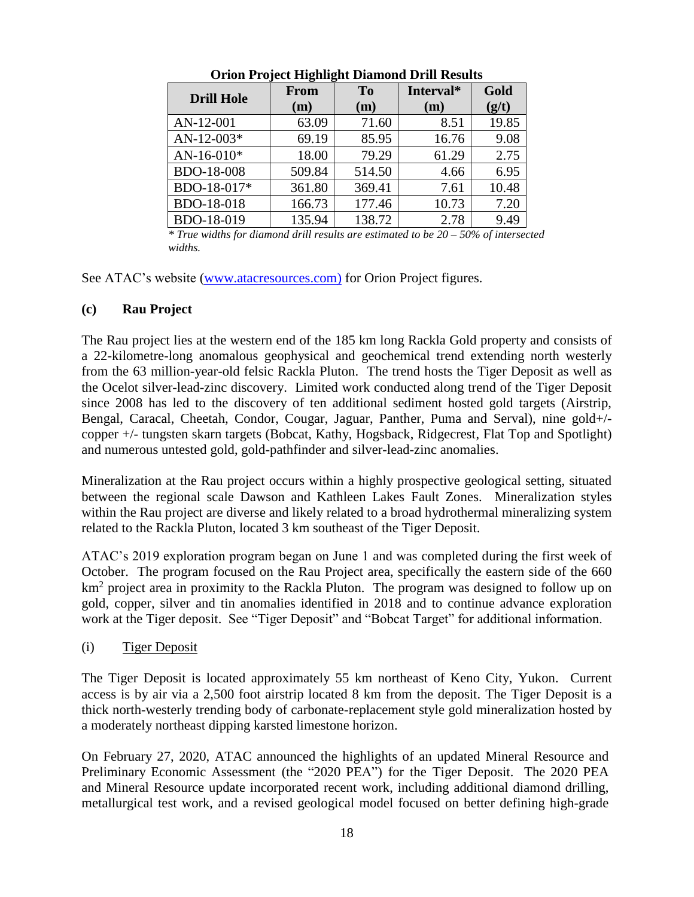| <b>Drill Hole</b> | <b>From</b><br>(m) | T <sub>o</sub><br>(m) | Interval*<br>(m) | Gold<br>(g/t) |
|-------------------|--------------------|-----------------------|------------------|---------------|
| AN-12-001         | 63.09              | 71.60                 | 8.51             | 19.85         |
| $AN-12-003*$      | 69.19              | 85.95                 | 16.76            | 9.08          |
| $AN-16-010*$      | 18.00              | 79.29                 | 61.29            | 2.75          |
| <b>BDO-18-008</b> | 509.84             | 514.50                | 4.66             | 6.95          |
| BDO-18-017*       | 361.80             | 369.41                | 7.61             | 10.48         |
| BDO-18-018        | 166.73             | 177.46                | 10.73            | 7.20          |
| BDO-18-019        | 135.94             | 138.72                | 2.78             | 9.49          |

**Orion Project Highlight Diamond Drill Results**

*\* True widths for diamond drill results are estimated to be 20 – 50% of intersected widths.*

See ATAC's website [\(www.atacresources.com\)](http://www.atacresources.com/) for Orion Project figures.

# **(c) Rau Project**

The [Rau project](http://www.atacresources.com/projects/rackla/rau-trend) lies at the western end of the 185 km long Rackla Gold property and consists of a 22-kilometre-long anomalous geophysical and geochemical trend extending north westerly from the 63 million-year-old felsic Rackla Pluton. The trend hosts the Tiger Deposit as well as the Ocelot silver-lead-zinc discovery. Limited work conducted along trend of the Tiger Deposit since 2008 has led to the discovery of ten additional sediment hosted gold targets (Airstrip, Bengal, Caracal, Cheetah, Condor, Cougar, Jaguar, Panther, Puma and Serval), nine gold+/ copper +/- tungsten skarn targets (Bobcat, Kathy, Hogsback, Ridgecrest, Flat Top and Spotlight) and numerous untested gold, gold-pathfinder and silver-lead-zinc anomalies.

Mineralization at the Rau project occurs within a highly prospective geological setting, situated between the regional scale Dawson and Kathleen Lakes Fault Zones. Mineralization styles within the Rau project are diverse and likely related to a broad hydrothermal mineralizing system related to the Rackla Pluton, located 3 km southeast of the Tiger Deposit.

ATAC's 2019 exploration program began on June 1 and was completed during the first week of October. The program focused on the Rau Project area, specifically the eastern side of the 660 km<sup>2</sup> project area in proximity to the Rackla Pluton. The program was designed to follow up on gold, copper, silver and tin anomalies identified in 2018 and to continue advance exploration work at the Tiger deposit. See "Tiger Deposit" and "Bobcat Target" for additional information.

# (i) Tiger Deposit

The Tiger Deposit is located approximately 55 km northeast of Keno City, Yukon. Current access is by air via a 2,500 foot airstrip located 8 km from the deposit. The Tiger Deposit is a thick north-westerly trending body of carbonate-replacement style gold mineralization hosted by a moderately northeast dipping karsted limestone horizon.

On February 27, 2020, ATAC announced the highlights of an updated Mineral Resource and Preliminary Economic Assessment (the "2020 PEA") for the Tiger Deposit. The 2020 PEA and Mineral Resource update incorporated recent work, including additional diamond drilling, metallurgical test work, and a revised geological model focused on better defining high-grade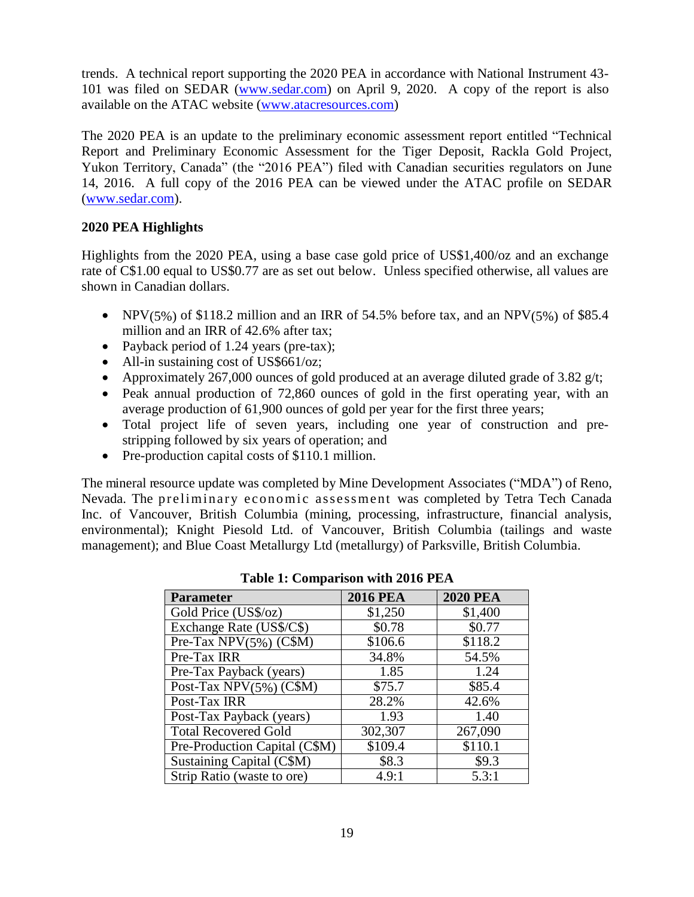trends. A technical report supporting the 2020 PEA in accordance with National Instrument 43- 101 was filed on SEDAR [\(www.sedar.com\)](http://www.sedar.com/) on April 9, 2020. A copy of the report is also available on the ATAC website [\(www.atacresources.com\)](http://www.atacresources.com/)

The 2020 PEA is an update to the preliminary economic assessment report entitled "Technical Report and Preliminary Economic Assessment for the Tiger Deposit, Rackla Gold Project, Yukon Territory, Canada" (the "2016 PEA") filed with Canadian securities regulators on June 14, 2016. A full copy of the 2016 PEA can be viewed under the ATAC profile on SEDAR [\(www.sedar.com\)](http://www.sedar.com/).

# **2020 PEA Highlights**

Highlights from the 2020 PEA, using a base case gold price of US\$1,400/oz and an exchange rate of C\$1.00 equal to US\$0.77 are as set out below. Unless specified otherwise, all values are shown in Canadian dollars.

- NPV(5%) of \$118.2 million and an IRR of 54.5% before tax, and an NPV(5%) of \$85.4 million and an IRR of 42.6% after tax;
- Payback period of 1.24 years (pre-tax);
- All-in sustaining cost of US\$661/oz;
- Approximately 267,000 ounces of gold produced at an average diluted grade of 3.82  $g/t$ ;
- Peak annual production of 72,860 ounces of gold in the first operating year, with an average production of 61,900 ounces of gold per year for the first three years;
- Total project life of seven years, including one year of construction and prestripping followed by six years of operation; and
- Pre-production capital costs of \$110.1 million.

The mineral resource update was completed by Mine Development Associates ("MDA") of Reno, Nevada. The preliminary economic assessment was completed by Tetra Tech Canada Inc. of Vancouver, British Columbia (mining, processing, infrastructure, financial analysis, environmental); Knight Piesold Ltd. of Vancouver, British Columbia (tailings and waste management); and Blue Coast Metallurgy Ltd (metallurgy) of Parksville, British Columbia.

| <b>Parameter</b>                             | <b>2016 PEA</b> | <b>2020 PEA</b> |  |  |  |
|----------------------------------------------|-----------------|-----------------|--|--|--|
| Gold Price (US\$/oz)                         | \$1,250         | \$1,400         |  |  |  |
| Exchange Rate (US\$/C\$)                     | \$0.78          | \$0.77          |  |  |  |
| Pre-Tax NPV $(5\%)$ (C\$M)                   | \$106.6         | \$118.2         |  |  |  |
| Pre-Tax IRR                                  | 34.8%           | 54.5%           |  |  |  |
| Pre-Tax Payback (years)                      | 1.85            | 1.24            |  |  |  |
| Post-Tax $\overline{\text{NPV}(5\%)}$ (C\$M) | \$75.7          | \$85.4          |  |  |  |
| Post-Tax IRR                                 | 28.2%           | 42.6%           |  |  |  |
| Post-Tax Payback (years)                     | 1.93            | 1.40            |  |  |  |
| <b>Total Recovered Gold</b>                  | 302,307         | 267,090         |  |  |  |
| Pre-Production Capital (C\$M)                | \$109.4         | \$110.1         |  |  |  |
| Sustaining Capital (C\$M)                    | \$8.3           | \$9.3           |  |  |  |
| Strip Ratio (waste to ore)                   | 4.9:1           | 5.3:1           |  |  |  |

| <b>Table 1: Comparison with 2016 PEA</b> |  |  |  |  |
|------------------------------------------|--|--|--|--|
|------------------------------------------|--|--|--|--|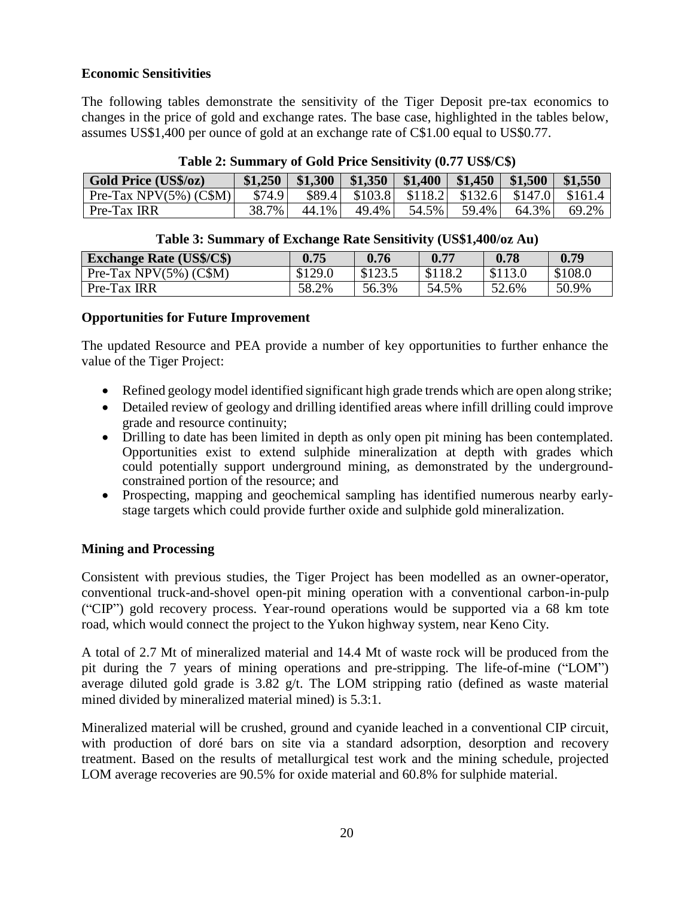### **Economic Sensitivities**

The following tables demonstrate the sensitivity of the Tiger Deposit pre-tax economics to changes in the price of gold and exchange rates. The base case, highlighted in the tables below, assumes US\$1,400 per ounce of gold at an exchange rate of C\$1.00 equal to US\$0.77.

| <b>Gold Price (US\$/oz)</b> | \$1,250 |       |       |       | $ \$1,300 $ \$1,350   \$1,400   \$1,450   \$1,500   \$1,550 |       |                                                                  |
|-----------------------------|---------|-------|-------|-------|-------------------------------------------------------------|-------|------------------------------------------------------------------|
| Pre-Tax NPV $(5\%)$ (C\$M)  | \$74.9  |       |       |       |                                                             |       | \$89.4 \ \ \$103.8 \ \ \$118.2 \ \ \$132.6 \ \$147.0 \ \$161.4 \ |
| Pre-Tax IRR                 | 38.7%   | 44.1% | 49.4% | 54.5% | 59.4%                                                       | 64.3% | 69.2%                                                            |

### **Table 2: Summary of Gold Price Sensitivity (0.77 US\$/C\$)**

### **Table 3: Summary of Exchange Rate Sensitivity (US\$1,400/oz Au)**

| <b>Exchange Rate (US\$/C\$)</b> | 0.75    | 0.76  | 0.77    | 0.78    | 0.79    |
|---------------------------------|---------|-------|---------|---------|---------|
| Pre-Tax NPV $(5\%)$ (C\$M)      | \$129.0 | 21235 | \$118.2 | \$113.0 | \$108.0 |
| Pre-Tax IRR                     | 58.2%   | 56.3% | 54.5%   | 52.6%   | 50.9%   |

### **Opportunities for Future Improvement**

The updated Resource and PEA provide a number of key opportunities to further enhance the value of the Tiger Project:

- Refined geology model identified significant high grade trends which are open along strike;
- Detailed review of geology and drilling identified areas where infill drilling could improve grade and resource continuity;
- Drilling to date has been limited in depth as only open pit mining has been contemplated. Opportunities exist to extend sulphide mineralization at depth with grades which could potentially support underground mining, as demonstrated by the undergroundconstrained portion of the resource; and
- Prospecting, mapping and geochemical sampling has identified numerous nearby earlystage targets which could provide further oxide and sulphide gold mineralization.

# **Mining and Processing**

Consistent with previous studies, the Tiger Project has been modelled as an owner-operator, conventional truck-and-shovel open-pit mining operation with a conventional carbon-in-pulp ("CIP") gold recovery process. Year-round operations would be supported via a 68 km tote road, which would connect the project to the Yukon highway system, near Keno City.

A total of 2.7 Mt of mineralized material and 14.4 Mt of waste rock will be produced from the pit during the 7 years of mining operations and pre-stripping. The life-of-mine ("LOM") average diluted gold grade is 3.82 g/t. The LOM stripping ratio (defined as waste material mined divided by mineralized material mined) is 5.3:1.

Mineralized material will be crushed, ground and cyanide leached in a conventional CIP circuit, with production of doré bars on site via a standard adsorption, desorption and recovery treatment. Based on the results of metallurgical test work and the mining schedule, projected LOM average recoveries are 90.5% for oxide material and 60.8% for sulphide material.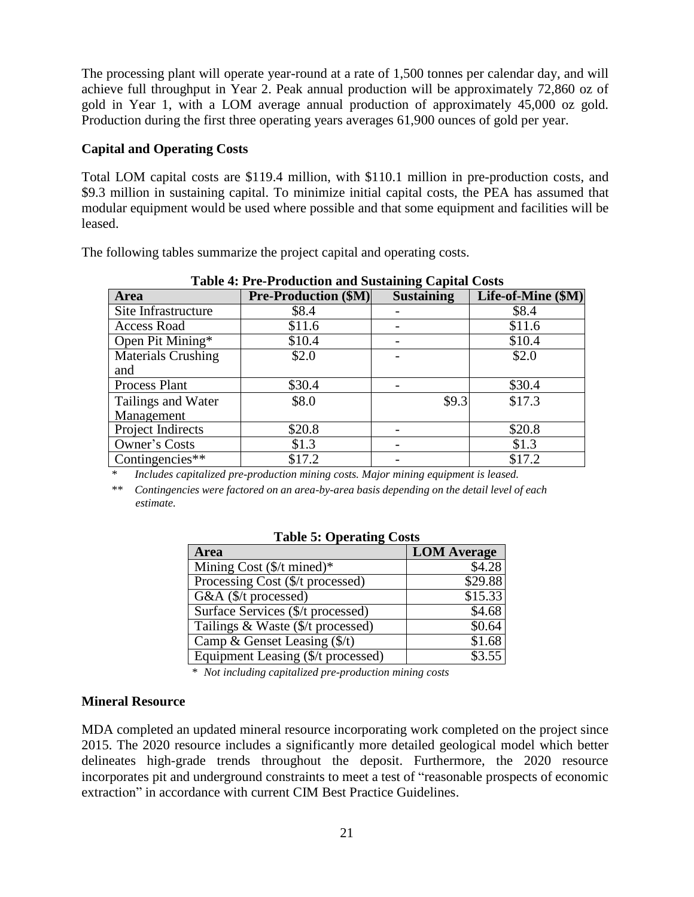The processing plant will operate year-round at a rate of 1,500 tonnes per calendar day, and will achieve full throughput in Year 2. Peak annual production will be approximately 72,860 oz of gold in Year 1, with a LOM average annual production of approximately 45,000 oz gold. Production during the first three operating years averages 61,900 ounces of gold per year.

### **Capital and Operating Costs**

Total LOM capital costs are \$119.4 million, with \$110.1 million in pre-production costs, and \$9.3 million in sustaining capital. To minimize initial capital costs, the PEA has assumed that modular equipment would be used where possible and that some equipment and facilities will be leased.

**Table 4: Pre-Production and Sustaining Capital Costs Area Pre-Production (\$M) Sustaining**

The following tables summarize the project capital and operating costs.

| Area                          | <b>Pre-Production (\$M)</b> | <b>Sustaining</b> | Life-of-Mine (\$M) |
|-------------------------------|-----------------------------|-------------------|--------------------|
| Site Infrastructure           | \$8.4                       |                   | \$8.4              |
| <b>Access Road</b>            | \$11.6                      |                   | \$11.6             |
| Open Pit Mining*              | \$10.4                      |                   | \$10.4             |
| <b>Materials Crushing</b>     | \$2.0                       |                   | \$2.0              |
| and                           |                             |                   |                    |
| Process Plant                 | \$30.4                      |                   | \$30.4             |
| Tailings and Water            | \$8.0                       | \$9.3             | \$17.3             |
| Management                    |                             |                   |                    |
| Project Indirects             | \$20.8                      |                   | \$20.8             |
| Owner's Costs                 | \$1.3                       |                   | \$1.3              |
| Contingencies $\overline{**}$ | \$17.2                      |                   | \$17.2             |

*\* Includes capitalized pre-production mining costs. Major mining equipment is leased.*

*\*\* Contingencies were factored on an area-by-area basis depending on the detail level of each estimate.*

| <b>Area</b>                           | <b>LOM</b> Average |
|---------------------------------------|--------------------|
| Mining Cost $(\frac{C}{T})$ mined)*   | \$4.28             |
| Processing Cost (\$/t processed)      | \$29.88            |
| G&A (\$/t processed)                  | \$15.33            |
| Surface Services (\$/t processed)     | \$4.68             |
| Tailings & Waste (\$/t processed)     | \$0.64             |
| Camp & Genset Leasing $(\frac{f}{f})$ | \$1.68             |
| Equipment Leasing (\$/t processed)    | \$3.55             |

|  |  | <b>Table 5: Operating Costs</b> |  |
|--|--|---------------------------------|--|
|--|--|---------------------------------|--|

*\* Not including capitalized pre-production mining costs*

#### **Mineral Resource**

MDA completed an updated mineral resource incorporating work completed on the project since 2015. The 2020 resource includes a significantly more detailed geological model which better delineates high-grade trends throughout the deposit. Furthermore, the 2020 resource incorporates pit and underground constraints to meet a test of "reasonable prospects of economic extraction" in accordance with current CIM Best Practice Guidelines.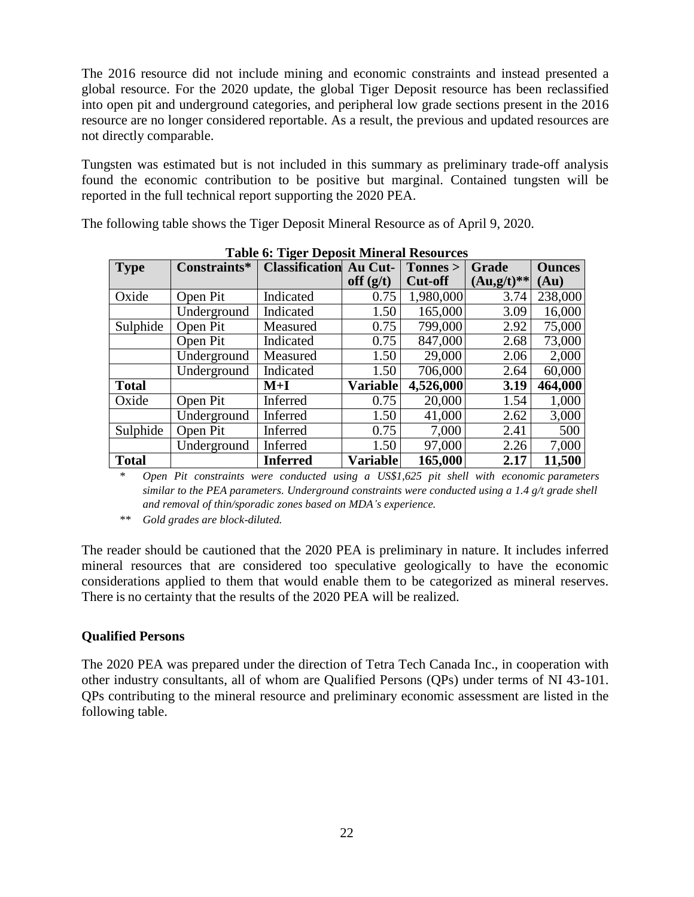The 2016 resource did not include mining and economic constraints and instead presented a global resource. For the 2020 update, the global Tiger Deposit resource has been reclassified into open pit and underground categories, and peripheral low grade sections present in the 2016 resource are no longer considered reportable. As a result, the previous and updated resources are not directly comparable.

Tungsten was estimated but is not included in this summary as preliminary trade-off analysis found the economic contribution to be positive but marginal. Contained tungsten will be reported in the full technical report supporting the 2020 PEA.

The following table shows the Tiger Deposit Mineral Resource as of April 9, 2020.

| <b>Type</b>  | Constraints* | Table 0. Tiger Deposit Milleral Resources<br><b>Classification Au Cut-</b> |                 | Tonnes >       | Grade         | <b>Ounces</b> |
|--------------|--------------|----------------------------------------------------------------------------|-----------------|----------------|---------------|---------------|
|              |              |                                                                            | off $(g/t)$     | <b>Cut-off</b> | $(Au, g/t)**$ | $\bf{Au)}$    |
| Oxide        | Open Pit     | Indicated                                                                  | 0.75            | 1,980,000      | 3.74          | 238,000       |
|              | Underground  | Indicated                                                                  | 1.50            | 165,000        | 3.09          | 16,000        |
| Sulphide     | Open Pit     | Measured                                                                   | 0.75            | 799,000        | 2.92          | 75,000        |
|              | Open Pit     | Indicated                                                                  | 0.75            | 847,000        | 2.68          | 73,000        |
|              | Underground  | Measured                                                                   | 1.50            | 29,000         | 2.06          | 2,000         |
|              | Underground  | Indicated                                                                  | 1.50            | 706,000        | 2.64          | 60,000        |
| <b>Total</b> |              | $M+I$                                                                      | <b>Variable</b> | 4,526,000      | 3.19          | 464,000       |
| Oxide        | Open Pit     | Inferred                                                                   | 0.75            | 20,000         | 1.54          | 1,000         |
|              | Underground  | Inferred                                                                   | 1.50            | 41,000         | 2.62          | 3,000         |
| Sulphide     | Open Pit     | Inferred                                                                   | 0.75            | 7,000          | 2.41          | 500           |
|              | Underground  | Inferred                                                                   | 1.50            | 97,000         | 2.26          | 7,000         |
| <b>Total</b> |              | <b>Inferred</b>                                                            | <b>Variable</b> | 165,000        | 2.17          | 11,500        |

**Table 6: Tiger Deposit Mineral Resources**

*\* Open Pit constraints were conducted using a US\$1,625 pit shell with economic parameters similar to the PEA parameters. Underground constraints were conducted using a 1.4 g/t grade shell and removal of thin/sporadic zones based on MDA's experience.*

*\*\* Gold grades are block-diluted.*

The reader should be cautioned that the 2020 PEA is preliminary in nature. It includes inferred mineral resources that are considered too speculative geologically to have the economic considerations applied to them that would enable them to be categorized as mineral reserves. There is no certainty that the results of the 2020 PEA will be realized.

# **Qualified Persons**

The 2020 PEA was prepared under the direction of Tetra Tech Canada Inc., in cooperation with other industry consultants, all of whom are Qualified Persons (QPs) under terms of NI 43-101. QPs contributing to the mineral resource and preliminary economic assessment are listed in the following table.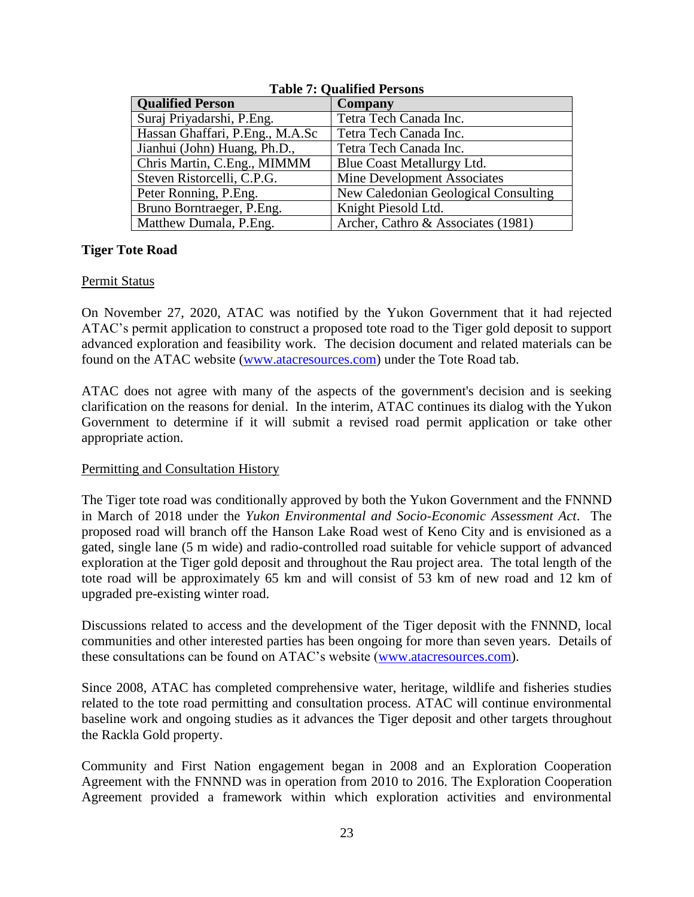| Tubic 7: Oudilitied I cloons    |                                      |  |  |
|---------------------------------|--------------------------------------|--|--|
| <b>Qualified Person</b>         | Company                              |  |  |
| Suraj Priyadarshi, P.Eng.       | Tetra Tech Canada Inc.               |  |  |
| Hassan Ghaffari, P.Eng., M.A.Sc | Tetra Tech Canada Inc.               |  |  |
| Jianhui (John) Huang, Ph.D.,    | Tetra Tech Canada Inc.               |  |  |
| Chris Martin, C.Eng., MIMMM     | Blue Coast Metallurgy Ltd.           |  |  |
| Steven Ristorcelli, C.P.G.      | Mine Development Associates          |  |  |
| Peter Ronning, P.Eng.           | New Caledonian Geological Consulting |  |  |
| Bruno Borntraeger, P.Eng.       | Knight Piesold Ltd.                  |  |  |
| Matthew Dumala, P.Eng.          | Archer, Cathro & Associates (1981)   |  |  |
|                                 |                                      |  |  |

**Table 7: Qualified Persons**

### **Tiger Tote Road**

### Permit Status

On November 27, 2020, ATAC was notified by the Yukon Government that it had rejected ATAC's permit application to construct a proposed tote road to the Tiger gold deposit to support advanced exploration and feasibility work. The decision document and related materials can be found on the ATAC website [\(www.atacresources.com\)](http://www.atacresources.com/) under the Tote Road tab.

ATAC does not agree with many of the aspects of the government's decision and is seeking clarification on the reasons for denial. In the interim, ATAC continues its dialog with the Yukon Government to determine if it will submit a revised road permit application or take other appropriate action.

### Permitting and Consultation History

The Tiger tote road was conditionally approved by both the Yukon Government and the FNNND in March of 2018 under the *Yukon Environmental and Socio-Economic Assessment Act*. The proposed road will branch off the Hanson Lake Road west of Keno City and is envisioned as a gated, single lane (5 m wide) and radio-controlled road suitable for vehicle support of advanced exploration at the Tiger gold deposit and throughout the Rau project area. The total length of the tote road will be approximately 65 km and will consist of 53 km of new road and 12 km of upgraded pre-existing winter road.

Discussions related to access and the development of the Tiger deposit with the FNNND, local communities and other interested parties has been ongoing for more than seven years. Details of these consultations can be found on ATAC's website [\(www.atacresources.com\)](http://www.atacresources.com/).

Since 2008, ATAC has completed comprehensive water, heritage, wildlife and fisheries studies related to the tote road permitting and consultation process. ATAC will continue environmental baseline work and ongoing studies as it advances the Tiger deposit and other targets throughout the Rackla Gold property.

Community and First Nation engagement began in 2008 and an Exploration Cooperation Agreement with the FNNND was in operation from 2010 to 2016. The Exploration Cooperation Agreement provided a framework within which exploration activities and environmental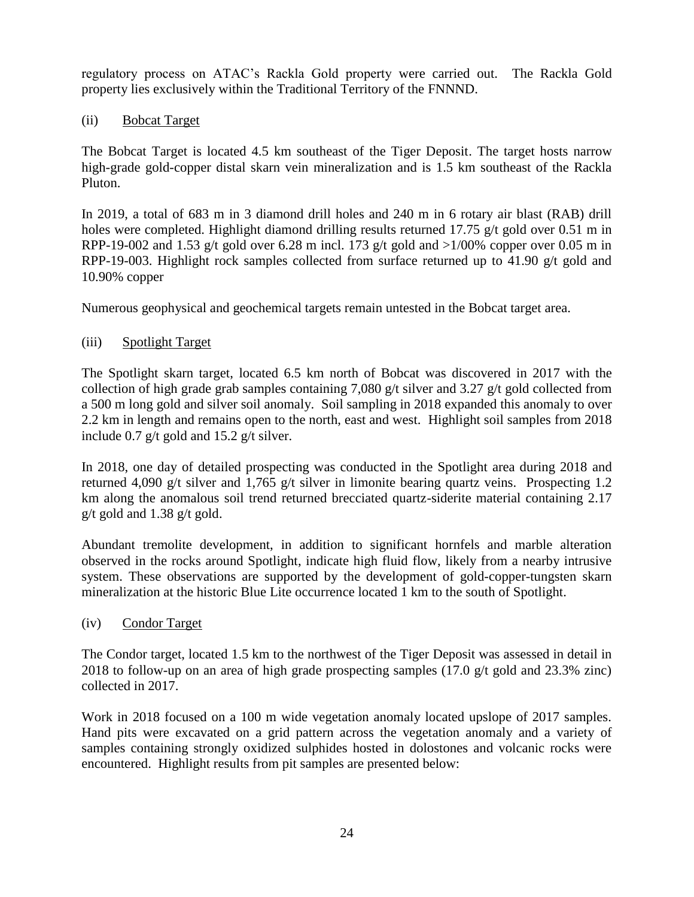regulatory process on ATAC's Rackla Gold property were carried out. The Rackla Gold property lies exclusively within the Traditional Territory of the FNNND.

### (ii) Bobcat Target

The Bobcat Target is located 4.5 km southeast of the Tiger Deposit. The target hosts narrow high-grade gold-copper distal skarn vein mineralization and is 1.5 km southeast of the Rackla Pluton.

In 2019, a total of 683 m in 3 diamond drill holes and 240 m in 6 rotary air blast (RAB) drill holes were completed. Highlight diamond drilling results returned 17.75 g/t gold over 0.51 m in RPP-19-002 and 1.53 g/t gold over 6.28 m incl. 173 g/t gold and  $>1/00\%$  copper over 0.05 m in RPP-19-003. Highlight rock samples collected from surface returned up to 41.90 g/t gold and 10.90% copper

Numerous geophysical and geochemical targets remain untested in the Bobcat target area.

### (iii) Spotlight Target

The Spotlight skarn target, located 6.5 km north of Bobcat was discovered in 2017 with the collection of high grade grab samples containing 7,080 g/t silver and 3.27 g/t gold collected from a 500 m long gold and silver soil anomaly. Soil sampling in 2018 expanded this anomaly to over 2.2 km in length and remains open to the north, east and west. Highlight soil samples from 2018 include 0.7 g/t gold and 15.2 g/t silver.

In 2018, one day of detailed prospecting was conducted in the Spotlight area during 2018 and returned 4,090 g/t silver and 1,765 g/t silver in limonite bearing quartz veins. Prospecting 1.2 km along the anomalous soil trend returned brecciated quartz-siderite material containing 2.17 g/t gold and 1.38 g/t gold.

Abundant tremolite development, in addition to significant hornfels and marble alteration observed in the rocks around Spotlight, indicate high fluid flow, likely from a nearby intrusive system. These observations are supported by the development of gold-copper-tungsten skarn mineralization at the historic Blue Lite occurrence located 1 km to the south of Spotlight.

### (iv) Condor Target

The Condor target, located 1.5 km to the northwest of the Tiger Deposit was assessed in detail in 2018 to follow-up on an area of high grade prospecting samples (17.0 g/t gold and 23.3% zinc) collected in 2017.

Work in 2018 focused on a 100 m wide vegetation anomaly located upslope of 2017 samples. Hand pits were excavated on a grid pattern across the vegetation anomaly and a variety of samples containing strongly oxidized sulphides hosted in dolostones and volcanic rocks were encountered. Highlight results from pit samples are presented below: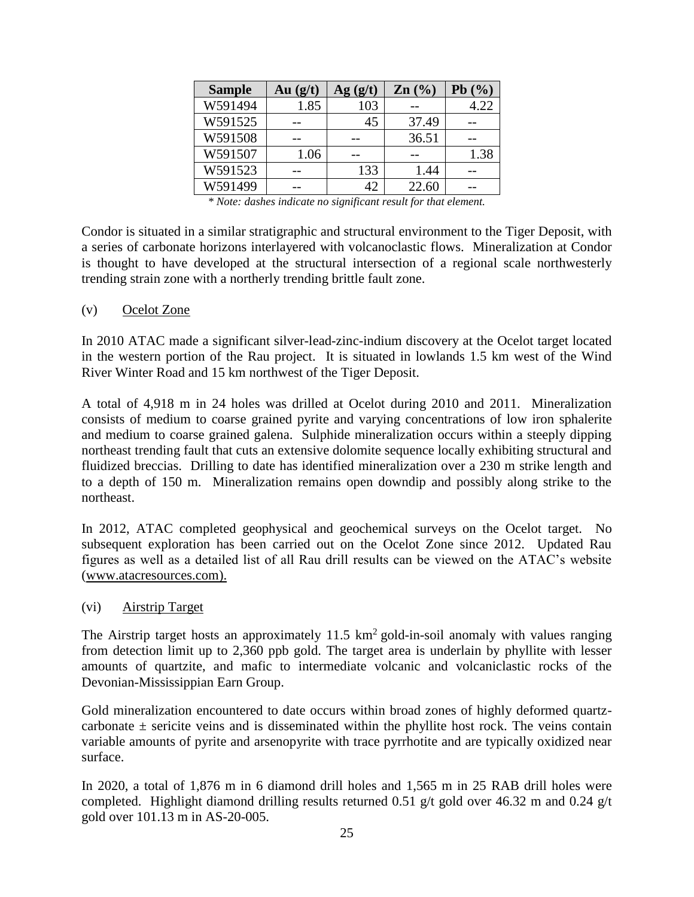| <b>Sample</b> | Au $(g/t)$ | Ag(g/t) | $\mathbf{Zn}$ (%) | Pb(%) |
|---------------|------------|---------|-------------------|-------|
| W591494       | 1.85       | 103     |                   | 4.22  |
| W591525       |            | 45      | 37.49             |       |
| W591508       |            |         | 36.51             |       |
| W591507       | 1.06       |         |                   | 1.38  |
| W591523       |            | 133     | 1.44              |       |
| W591499       |            | 42      | 22.60             |       |

*\* Note: dashes indicate no significant result for that element.*

Condor is situated in a similar stratigraphic and structural environment to the Tiger Deposit, with a series of carbonate horizons interlayered with volcanoclastic flows. Mineralization at Condor is thought to have developed at the structural intersection of a regional scale northwesterly trending strain zone with a northerly trending brittle fault zone.

#### (v) Ocelot Zone

In 2010 ATAC made a significant silver-lead-zinc-indium discovery at the Ocelot target located in the western portion of the Rau project. It is situated in lowlands 1.5 km west of the Wind River Winter Road and 15 km northwest of the Tiger Deposit.

A total of 4,918 m in 24 holes was drilled at Ocelot during 2010 and 2011. Mineralization consists of medium to coarse grained pyrite and varying concentrations of low iron sphalerite and medium to coarse grained galena. Sulphide mineralization occurs within a steeply dipping northeast trending fault that cuts an extensive dolomite sequence locally exhibiting structural and fluidized breccias. Drilling to date has identified mineralization over a 230 m strike length and to a depth of 150 m. Mineralization remains open downdip and possibly along strike to the northeast.

In 2012, ATAC completed geophysical and geochemical surveys on the Ocelot target. No subsequent exploration has been carried out on the Ocelot Zone since 2012. Updated Rau figures as well as a detailed list of all Rau drill results can be viewed on the ATAC's website [\(www.atacresources.com\).](http://www.atacresources.com)./)

### (vi) Airstrip Target

The Airstrip target hosts an approximately  $11.5 \text{ km}^2$  gold-in-soil anomaly with values ranging from detection limit up to 2,360 ppb gold. The target area is underlain by phyllite with lesser amounts of quartzite, and mafic to intermediate volcanic and volcaniclastic rocks of the Devonian-Mississippian Earn Group.

Gold mineralization encountered to date occurs within broad zones of highly deformed quartzcarbonate  $\pm$  sericite veins and is disseminated within the phyllite host rock. The veins contain variable amounts of pyrite and arsenopyrite with trace pyrrhotite and are typically oxidized near surface.

In 2020, a total of 1,876 m in 6 diamond drill holes and 1,565 m in 25 RAB drill holes were completed. Highlight diamond drilling results returned 0.51 g/t gold over 46.32 m and 0.24 g/t gold over 101.13 m in AS-20-005.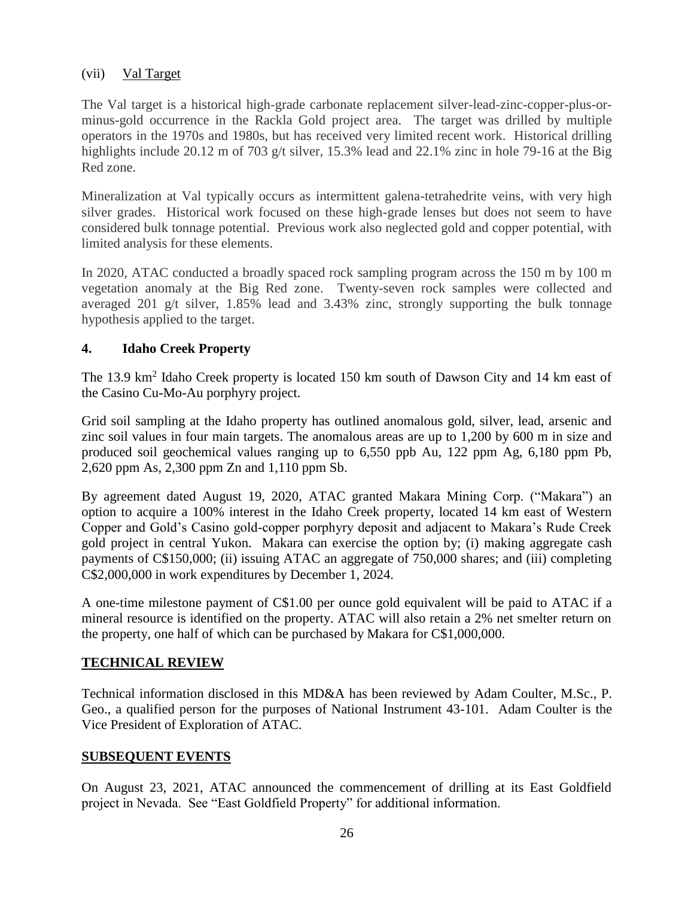### (vii) Val Target

The Val target is a historical high-grade carbonate replacement silver-lead-zinc-copper-plus-orminus-gold occurrence in the Rackla Gold project area. The target was drilled by multiple operators in the 1970s and 1980s, but has received very limited recent work. Historical drilling highlights include 20.12 m of 703 g/t silver, 15.3% lead and 22.1% zinc in hole 79-16 at the Big Red zone.

Mineralization at Val typically occurs as intermittent galena-tetrahedrite veins, with very high silver grades. Historical work focused on these high-grade lenses but does not seem to have considered bulk tonnage potential. Previous work also neglected gold and copper potential, with limited analysis for these elements.

In 2020, ATAC conducted a broadly spaced rock sampling program across the 150 m by 100 m vegetation anomaly at the Big Red zone. Twenty-seven rock samples were collected and averaged 201 g/t silver, 1.85% lead and 3.43% zinc, strongly supporting the bulk tonnage hypothesis applied to the target.

### **4. Idaho Creek Property**

The 13.9 km<sup>2</sup> Idaho Creek property is located 150 km south of Dawson City and 14 km east of the Casino Cu-Mo-Au porphyry project.

Grid soil sampling at the Idaho property has outlined anomalous gold, silver, lead, arsenic and zinc soil values in four main targets. The anomalous areas are up to 1,200 by 600 m in size and produced soil geochemical values ranging up to 6,550 ppb Au, 122 ppm Ag, 6,180 ppm Pb, 2,620 ppm As, 2,300 ppm Zn and 1,110 ppm Sb.

By agreement dated August 19, 2020, ATAC granted Makara Mining Corp. ("Makara") an option to acquire a 100% interest in the Idaho Creek property, located 14 km east of Western Copper and Gold's Casino gold-copper porphyry deposit and adjacent to Makara's Rude Creek gold project in central Yukon. Makara can exercise the option by; (i) making aggregate cash payments of C\$150,000; (ii) issuing ATAC an aggregate of 750,000 shares; and (iii) completing C\$2,000,000 in work expenditures by December 1, 2024.

A one-time milestone payment of C\$1.00 per ounce gold equivalent will be paid to ATAC if a mineral resource is identified on the property. ATAC will also retain a 2% net smelter return on the property, one half of which can be purchased by Makara for C\$1,000,000.

# **TECHNICAL REVIEW**

Technical information disclosed in this MD&A has been reviewed by Adam Coulter, M.Sc., P. Geo., a qualified person for the purposes of National Instrument 43-101. Adam Coulter is the Vice President of Exploration of ATAC.

### **SUBSEQUENT EVENTS**

On August 23, 2021, ATAC announced the commencement of drilling at its East Goldfield project in Nevada. See "East Goldfield Property" for additional information.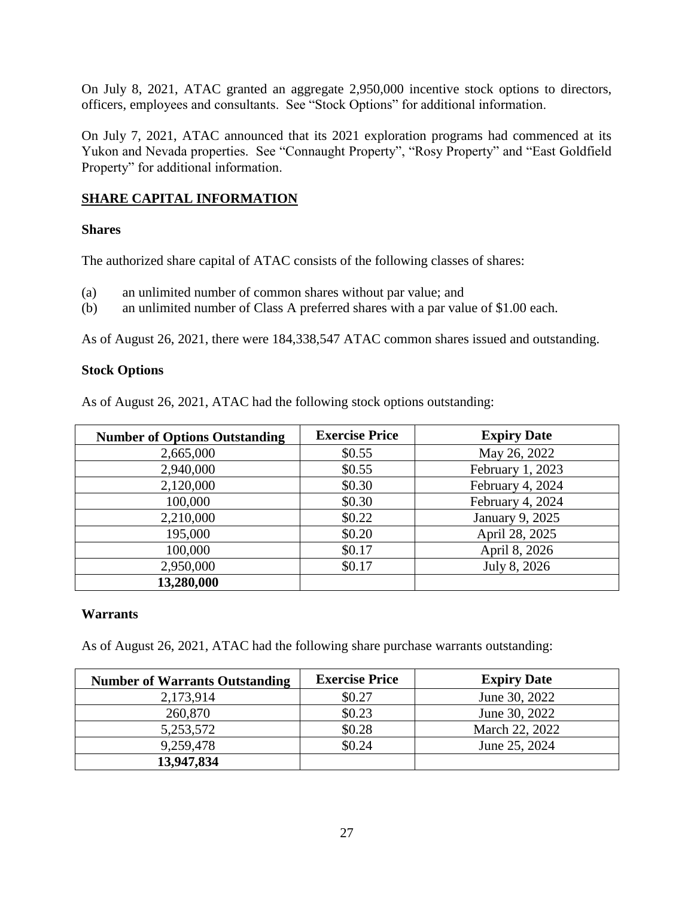On July 8, 2021, ATAC granted an aggregate 2,950,000 incentive stock options to directors, officers, employees and consultants. See "Stock Options" for additional information.

On July 7, 2021, ATAC announced that its 2021 exploration programs had commenced at its Yukon and Nevada properties. See "Connaught Property", "Rosy Property" and "East Goldfield Property" for additional information.

# **SHARE CAPITAL INFORMATION**

### **Shares**

The authorized share capital of ATAC consists of the following classes of shares:

- (a) an unlimited number of common shares without par value; and
- (b) an unlimited number of Class A preferred shares with a par value of \$1.00 each.

As of August 26, 2021, there were 184,338,547 ATAC common shares issued and outstanding.

### **Stock Options**

As of August 26, 2021, ATAC had the following stock options outstanding:

| <b>Number of Options Outstanding</b> | <b>Exercise Price</b> | <b>Expiry Date</b> |
|--------------------------------------|-----------------------|--------------------|
| 2,665,000                            | \$0.55                | May 26, 2022       |
| 2,940,000                            | \$0.55                | February 1, 2023   |
| 2,120,000                            | \$0.30                | February 4, 2024   |
| 100,000                              | \$0.30                | February 4, 2024   |
| 2,210,000                            | \$0.22                | January 9, 2025    |
| 195,000                              | \$0.20                | April 28, 2025     |
| 100,000                              | \$0.17                | April 8, 2026      |
| 2,950,000                            | \$0.17                | July 8, 2026       |
| 13,280,000                           |                       |                    |

### **Warrants**

As of August 26, 2021, ATAC had the following share purchase warrants outstanding:

| <b>Number of Warrants Outstanding</b> | <b>Exercise Price</b> | <b>Expiry Date</b> |
|---------------------------------------|-----------------------|--------------------|
| 2,173,914                             | \$0.27                | June 30, 2022      |
| 260,870                               | \$0.23                | June 30, 2022      |
| 5,253,572                             | \$0.28                | March 22, 2022     |
| 9,259,478                             | \$0.24                | June 25, 2024      |
| 13,947,834                            |                       |                    |